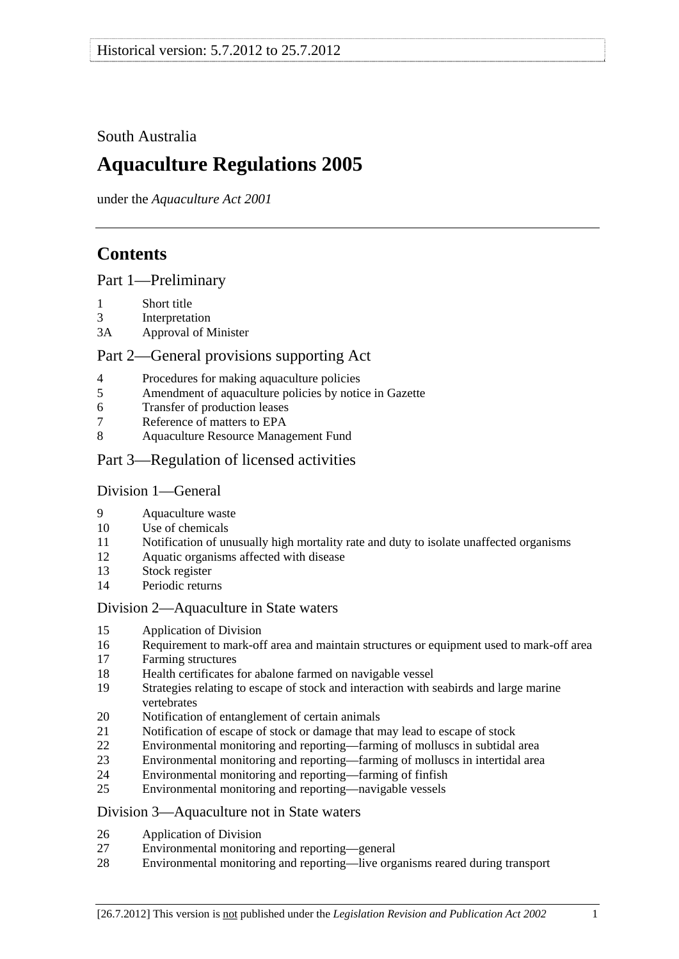## <span id="page-0-0"></span>South Australia

# **Aquaculture Regulations 2005**

under the *Aquaculture Act 2001*

# **Contents**

[Part 1—Preliminary](#page-1-0)

- [1 Short title](#page-1-0)
- [3 Interpretation](#page-1-0)
- [3A Approval of Minister](#page-2-0)

## [Part 2—General provisions supporting Act](#page-3-0)

- [4 Procedures for making aquaculture policies](#page-3-0)
- [5 Amendment of aquaculture policies by notice in Gazette](#page-3-0)
- [6 Transfer of production leases](#page-4-0)
- [7 Reference of matters to EPA](#page-4-0)
- [8 Aquaculture Resource Management Fund](#page-4-0)
- [Part 3—Regulation of licensed activities](#page-4-0)

## [Division 1—General](#page-4-0)

- [9 Aquaculture waste](#page-4-0)
- [10 Use of chemicals](#page-4-0)
- [11 Notification of unusually high mortality rate and duty to isolate unaffected organisms](#page-5-0)
- [12 Aquatic organisms affected with disease](#page-6-0)
- [13 Stock register](#page-6-0)
- [14 Periodic returns](#page-8-0)

## [Division 2—Aquaculture in State waters](#page-8-0)

- [15 Application of Division](#page-8-0)
- [16 Requirement to mark-off area and maintain structures or equipment used to mark-off area](#page-8-0)
- [17 Farming structures](#page-9-0)
- [18 Health certificates for abalone farmed on navigable vessel](#page-9-0)
- [19 Strategies relating to escape of stock and interaction with seabirds and large marine](#page-10-0)  [vertebrates](#page-10-0)
- [20 Notification of entanglement of certain animals](#page-11-0)
- [21 Notification of escape of stock or damage that may lead to escape of stock](#page-11-0)
- [22 Environmental monitoring and reporting—farming of molluscs in subtidal area](#page-12-0)
- [23 Environmental monitoring and reporting—farming of molluscs in intertidal area](#page-14-0)
- [24 Environmental monitoring and reporting—farming of finfish](#page-15-0)
- [25 Environmental monitoring and reporting—navigable vessels](#page-18-0)

## [Division 3—Aquaculture not in State waters](#page-19-0)

- [26 Application of Division](#page-19-0)
- [27 Environmental monitoring and reporting—general](#page-19-0)
- [28 Environmental monitoring and reporting—live organisms reared during transport](#page-21-0)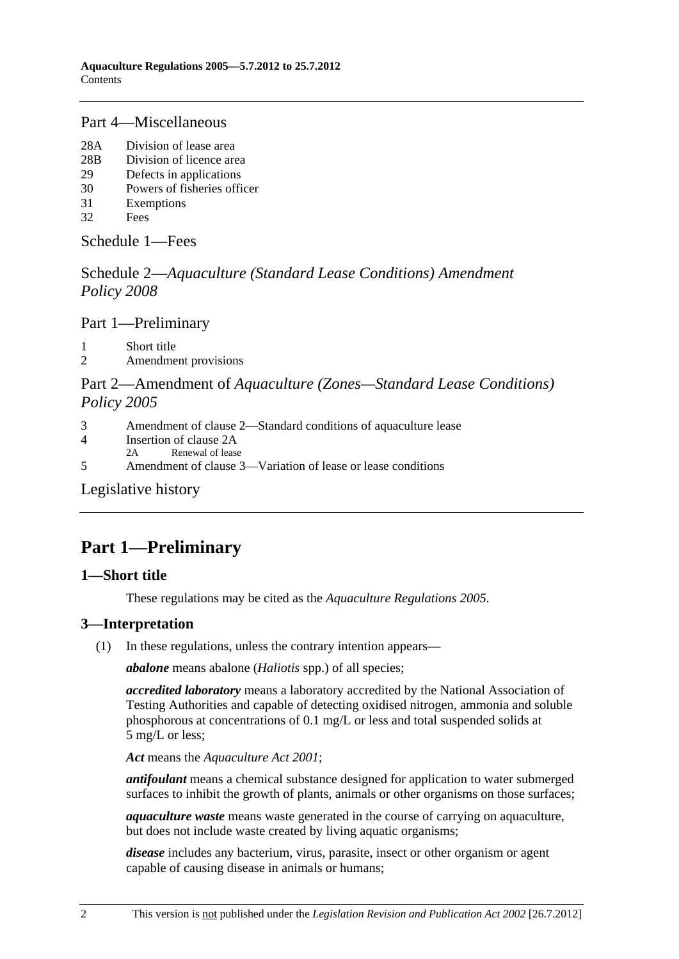## <span id="page-1-0"></span>[Part 4—Miscellaneous](#page-22-0)

- [28A Division of lease area](#page-22-0)
- [28B Division of licence area](#page-23-0)
- [29 Defects in applications](#page-24-0)
- [30 Powers of fisheries officer](#page-24-0)
- [31 Exemptions](#page-24-0)
- [32 Fees](#page-25-0)

[Schedule 1—Fees](#page-27-0)

Schedule 2—*[Aquaculture \(Standard Lease Conditions\) Amendment](#page-29-0)  [Policy 2008](#page-29-0)*

[Part 1—Preliminary](#page-0-0)

[1 Short title](#page-29-0) 

[2 Amendment provisions](#page-29-0) 

## Part 2—Amendment of *[Aquaculture \(Zones—Standard Lease Conditions\)](#page-0-0)  [Policy 2005](#page-0-0)*

- [3 Amendment of clause 2—Standard conditions of aquaculture lease](#page-29-0)
- [4 Insertion of clause 2A](#page-30-0)
- [2A Renewal of lease](#page-0-0)
- [5 Amendment of clause 3—Variation of lease or lease conditions](#page-30-0)

[Legislative history](#page-31-0) 

# **Part 1—Preliminary**

## **1—Short title**

These regulations may be cited as the *Aquaculture Regulations 2005*.

## **3—Interpretation**

(1) In these regulations, unless the contrary intention appears—

*abalone* means abalone (*Haliotis* spp.) of all species;

*accredited laboratory* means a laboratory accredited by the National Association of Testing Authorities and capable of detecting oxidised nitrogen, ammonia and soluble phosphorous at concentrations of 0.1 mg/L or less and total suspended solids at 5 mg/L or less;

*Act* means the *[Aquaculture Act 2001](http://www.legislation.sa.gov.au/index.aspx?action=legref&type=act&legtitle=Aquaculture%20Act%202001)*;

*antifoulant* means a chemical substance designed for application to water submerged surfaces to inhibit the growth of plants, animals or other organisms on those surfaces;

*aquaculture waste* means waste generated in the course of carrying on aquaculture, but does not include waste created by living aquatic organisms;

*disease* includes any bacterium, virus, parasite, insect or other organism or agent capable of causing disease in animals or humans;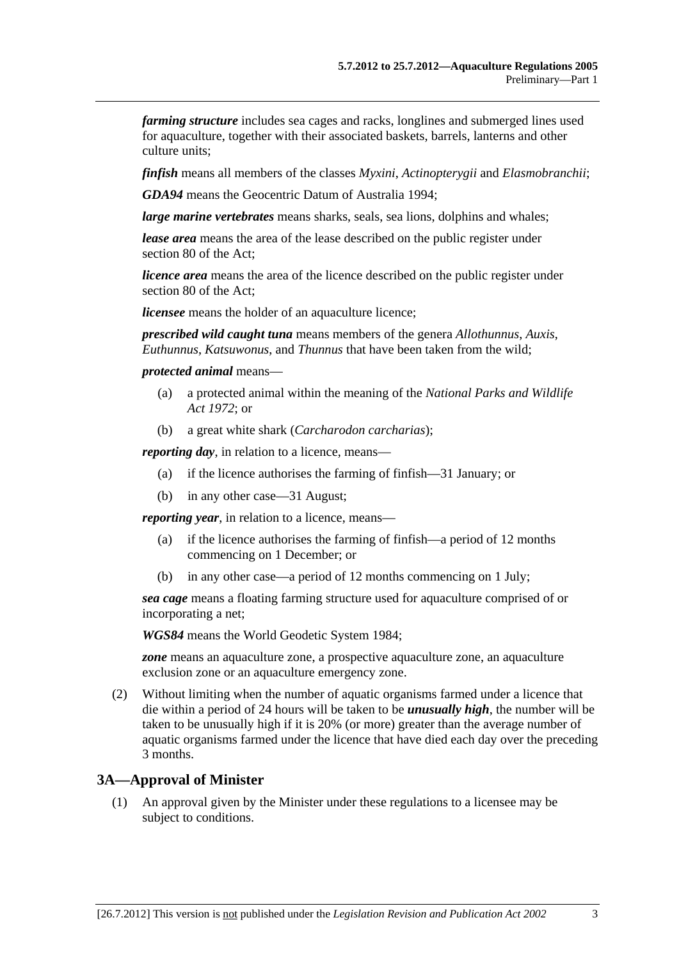<span id="page-2-0"></span>*farming structure* includes sea cages and racks, longlines and submerged lines used for aquaculture, together with their associated baskets, barrels, lanterns and other culture units;

*finfish* means all members of the classes *Myxini*, *Actinopterygii* and *Elasmobranchii*;

*GDA94* means the Geocentric Datum of Australia 1994;

*large marine vertebrates* means sharks, seals, sea lions, dolphins and whales;

*lease area* means the area of the lease described on the public register under section 80 of the Act;

*licence area* means the area of the licence described on the public register under section 80 of the Act;

*licensee* means the holder of an aquaculture licence;

*prescribed wild caught tuna* means members of the genera *Allothunnus*, *Auxis*, *Euthunnus*, *Katsuwonus*, and *Thunnus* that have been taken from the wild;

*protected animal* means—

- (a) a protected animal within the meaning of the *[National Parks and Wildlife](http://www.legislation.sa.gov.au/index.aspx?action=legref&type=act&legtitle=National%20Parks%20and%20Wildlife%20Act%201972)  [Act 1972](http://www.legislation.sa.gov.au/index.aspx?action=legref&type=act&legtitle=National%20Parks%20and%20Wildlife%20Act%201972)*; or
- (b) a great white shark (*Carcharodon carcharias*);

*reporting day*, in relation to a licence, means—

- (a) if the licence authorises the farming of finfish—31 January; or
- (b) in any other case—31 August;

*reporting year,* in relation to a licence, means—

- (a) if the licence authorises the farming of finfish—a period of 12 months commencing on 1 December; or
- (b) in any other case—a period of 12 months commencing on 1 July;

*sea cage* means a floating farming structure used for aquaculture comprised of or incorporating a net;

*WGS84* means the World Geodetic System 1984;

*zone* means an aquaculture zone, a prospective aquaculture zone, an aquaculture exclusion zone or an aquaculture emergency zone.

 (2) Without limiting when the number of aquatic organisms farmed under a licence that die within a period of 24 hours will be taken to be *unusually high*, the number will be taken to be unusually high if it is 20% (or more) greater than the average number of aquatic organisms farmed under the licence that have died each day over the preceding 3 months.

#### **3A—Approval of Minister**

 (1) An approval given by the Minister under these regulations to a licensee may be subject to conditions.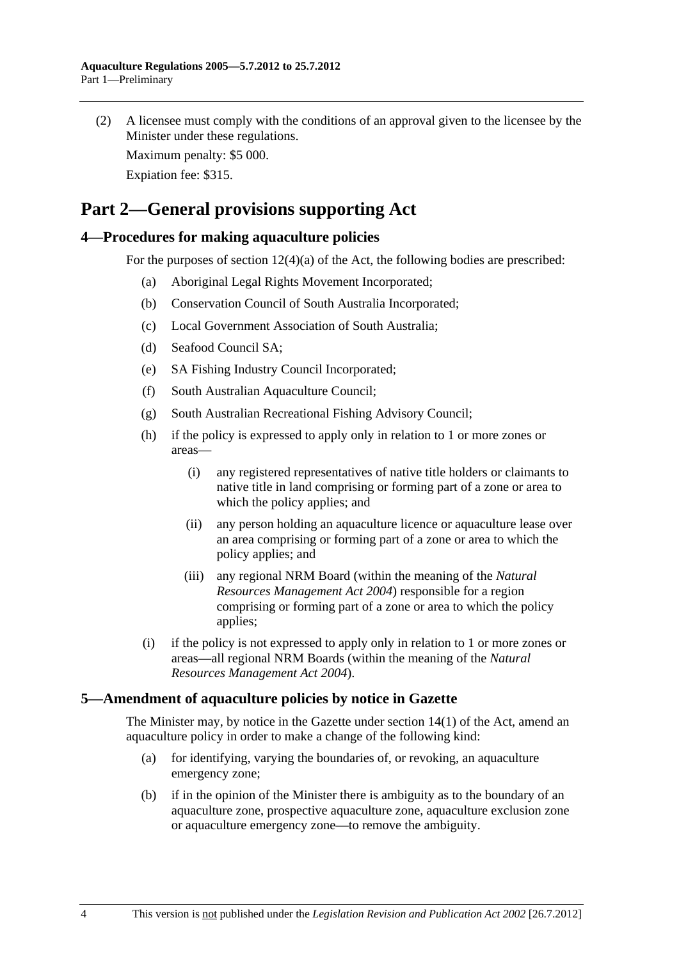<span id="page-3-0"></span> (2) A licensee must comply with the conditions of an approval given to the licensee by the Minister under these regulations.

Maximum penalty: \$5 000.

Expiation fee: \$315.

# **Part 2—General provisions supporting Act**

## **4—Procedures for making aquaculture policies**

For the purposes of section 12(4)(a) of the Act, the following bodies are prescribed:

- (a) Aboriginal Legal Rights Movement Incorporated;
- (b) Conservation Council of South Australia Incorporated;
- (c) Local Government Association of South Australia;
- (d) Seafood Council SA;
- (e) SA Fishing Industry Council Incorporated;
- (f) South Australian Aquaculture Council;
- (g) South Australian Recreational Fishing Advisory Council;
- (h) if the policy is expressed to apply only in relation to 1 or more zones or areas—
	- (i) any registered representatives of native title holders or claimants to native title in land comprising or forming part of a zone or area to which the policy applies; and
	- (ii) any person holding an aquaculture licence or aquaculture lease over an area comprising or forming part of a zone or area to which the policy applies; and
	- (iii) any regional NRM Board (within the meaning of the *[Natural](http://www.legislation.sa.gov.au/index.aspx?action=legref&type=act&legtitle=Natural%20Resources%20Management%20Act%202004)  [Resources Management Act 2004](http://www.legislation.sa.gov.au/index.aspx?action=legref&type=act&legtitle=Natural%20Resources%20Management%20Act%202004)*) responsible for a region comprising or forming part of a zone or area to which the policy applies;
- (i) if the policy is not expressed to apply only in relation to 1 or more zones or areas—all regional NRM Boards (within the meaning of the *[Natural](http://www.legislation.sa.gov.au/index.aspx?action=legref&type=act&legtitle=Natural%20Resources%20Management%20Act%202004)  [Resources Management Act 2004](http://www.legislation.sa.gov.au/index.aspx?action=legref&type=act&legtitle=Natural%20Resources%20Management%20Act%202004)*).

## **5—Amendment of aquaculture policies by notice in Gazette**

The Minister may, by notice in the Gazette under section 14(1) of the Act, amend an aquaculture policy in order to make a change of the following kind:

- (a) for identifying, varying the boundaries of, or revoking, an aquaculture emergency zone;
- (b) if in the opinion of the Minister there is ambiguity as to the boundary of an aquaculture zone, prospective aquaculture zone, aquaculture exclusion zone or aquaculture emergency zone—to remove the ambiguity.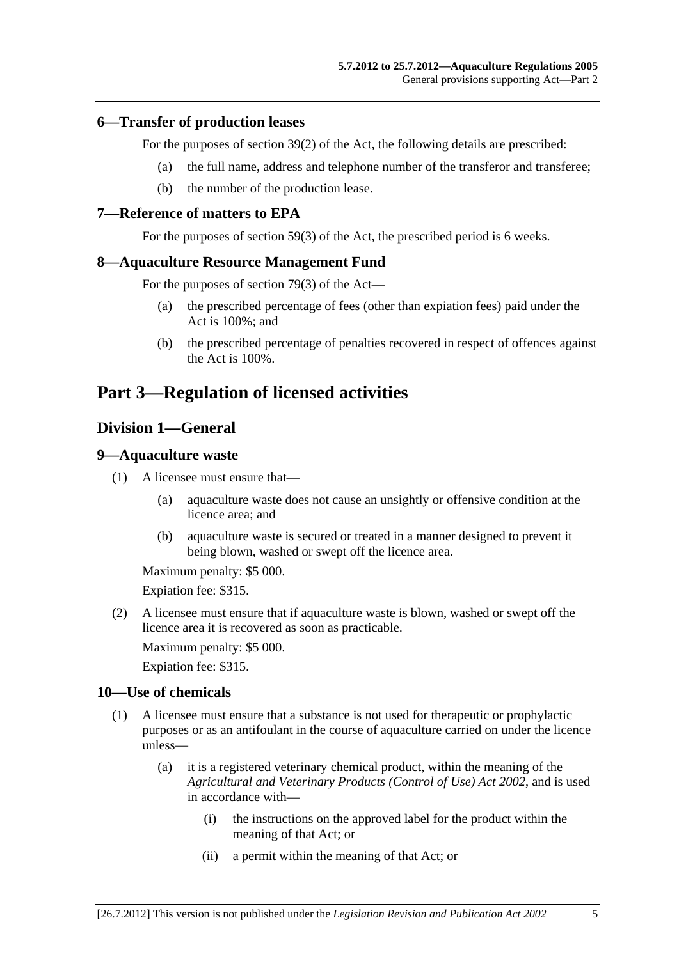#### <span id="page-4-0"></span>**6—Transfer of production leases**

For the purposes of section 39(2) of the Act, the following details are prescribed:

- (a) the full name, address and telephone number of the transferor and transferee;
- (b) the number of the production lease.

#### **7—Reference of matters to EPA**

For the purposes of section 59(3) of the Act, the prescribed period is 6 weeks.

#### **8—Aquaculture Resource Management Fund**

For the purposes of section 79(3) of the Act—

- (a) the prescribed percentage of fees (other than expiation fees) paid under the Act is 100%; and
- (b) the prescribed percentage of penalties recovered in respect of offences against the Act is 100%.

## **Part 3—Regulation of licensed activities**

## **Division 1—General**

#### **9—Aquaculture waste**

- (1) A licensee must ensure that—
	- (a) aquaculture waste does not cause an unsightly or offensive condition at the licence area; and
	- (b) aquaculture waste is secured or treated in a manner designed to prevent it being blown, washed or swept off the licence area.

Maximum penalty: \$5 000.

Expiation fee: \$315.

 (2) A licensee must ensure that if aquaculture waste is blown, washed or swept off the licence area it is recovered as soon as practicable.

Maximum penalty: \$5 000.

Expiation fee: \$315.

#### **10—Use of chemicals**

- (1) A licensee must ensure that a substance is not used for therapeutic or prophylactic purposes or as an antifoulant in the course of aquaculture carried on under the licence unless—
	- (a) it is a registered veterinary chemical product, within the meaning of the *[Agricultural and Veterinary Products \(Control of Use\) Act 2002](http://www.legislation.sa.gov.au/index.aspx?action=legref&type=act&legtitle=Agricultural%20and%20Veterinary%20Products%20(Control%20of%20Use)%20Act%202002)*, and is used in accordance with—
		- (i) the instructions on the approved label for the product within the meaning of that Act; or
		- (ii) a permit within the meaning of that Act; or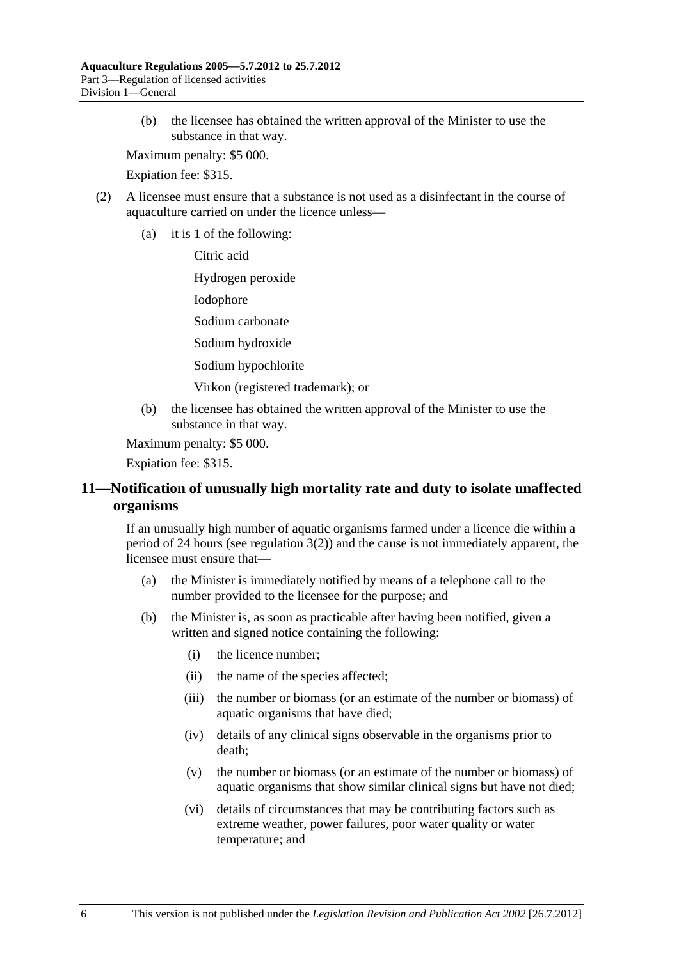<span id="page-5-0"></span> (b) the licensee has obtained the written approval of the Minister to use the substance in that way.

Maximum penalty: \$5 000.

Expiation fee: \$315.

- (2) A licensee must ensure that a substance is not used as a disinfectant in the course of aquaculture carried on under the licence unless—
	- (a) it is 1 of the following:

Citric acid

Hydrogen peroxide

Iodophore

Sodium carbonate

Sodium hydroxide

Sodium hypochlorite

Virkon (registered trademark); or

 (b) the licensee has obtained the written approval of the Minister to use the substance in that way.

Maximum penalty: \$5 000.

Expiation fee: \$315.

## **11—Notification of unusually high mortality rate and duty to isolate unaffected organisms**

If an unusually high number of aquatic organisms farmed under a licence die within a period of 24 hours (see regulation  $3(2)$ ) and the cause is not immediately apparent, the licensee must ensure that—

- (a) the Minister is immediately notified by means of a telephone call to the number provided to the licensee for the purpose; and
- (b) the Minister is, as soon as practicable after having been notified, given a written and signed notice containing the following:
	- (i) the licence number;
	- (ii) the name of the species affected;
	- (iii) the number or biomass (or an estimate of the number or biomass) of aquatic organisms that have died;
	- (iv) details of any clinical signs observable in the organisms prior to death;
	- (v) the number or biomass (or an estimate of the number or biomass) of aquatic organisms that show similar clinical signs but have not died;
	- (vi) details of circumstances that may be contributing factors such as extreme weather, power failures, poor water quality or water temperature; and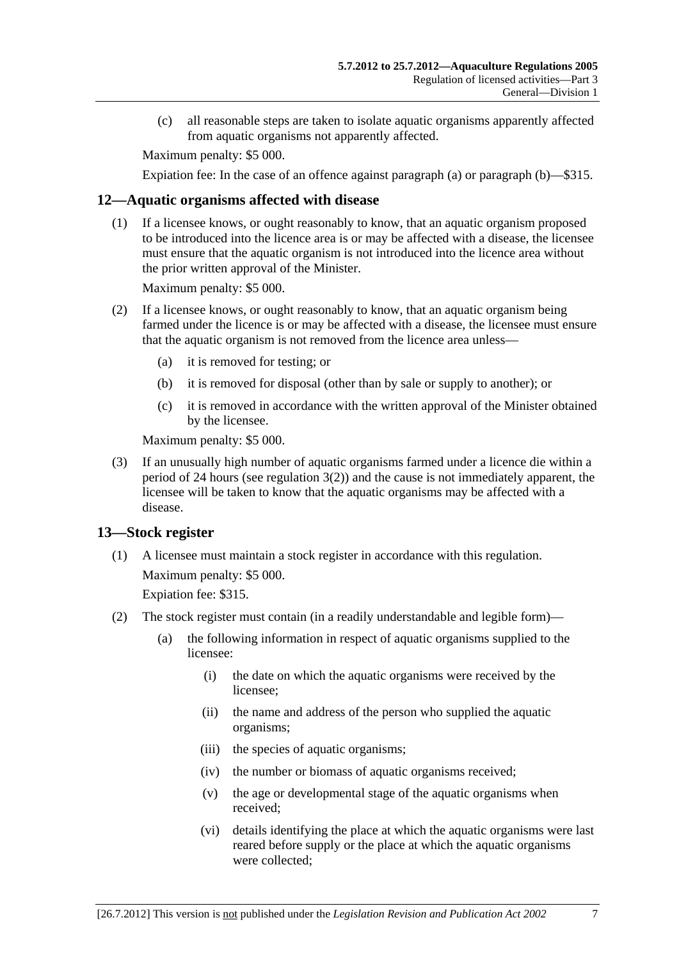<span id="page-6-0"></span> (c) all reasonable steps are taken to isolate aquatic organisms apparently affected from aquatic organisms not apparently affected.

Maximum penalty: \$5 000.

Expiation fee: In the case of an offence against [paragraph \(a\)](#page-5-0) or [paragraph \(b\)—](#page-5-0)\$315.

### **12—Aquatic organisms affected with disease**

 (1) If a licensee knows, or ought reasonably to know, that an aquatic organism proposed to be introduced into the licence area is or may be affected with a disease, the licensee must ensure that the aquatic organism is not introduced into the licence area without the prior written approval of the Minister.

Maximum penalty: \$5 000.

- (2) If a licensee knows, or ought reasonably to know, that an aquatic organism being farmed under the licence is or may be affected with a disease, the licensee must ensure that the aquatic organism is not removed from the licence area unless—
	- (a) it is removed for testing; or
	- (b) it is removed for disposal (other than by sale or supply to another); or
	- (c) it is removed in accordance with the written approval of the Minister obtained by the licensee.

Maximum penalty: \$5 000.

 (3) If an unusually high number of aquatic organisms farmed under a licence die within a period of 24 hours (see [regulation 3\(2\)](#page-2-0)) and the cause is not immediately apparent, the licensee will be taken to know that the aquatic organisms may be affected with a disease.

## **13—Stock register**

 (1) A licensee must maintain a stock register in accordance with this regulation. Maximum penalty: \$5 000.

Expiation fee: \$315.

- (2) The stock register must contain (in a readily understandable and legible form)—
	- (a) the following information in respect of aquatic organisms supplied to the licensee:
		- (i) the date on which the aquatic organisms were received by the licensee;
		- (ii) the name and address of the person who supplied the aquatic organisms;
		- (iii) the species of aquatic organisms;
		- (iv) the number or biomass of aquatic organisms received;
		- (v) the age or developmental stage of the aquatic organisms when received;
		- (vi) details identifying the place at which the aquatic organisms were last reared before supply or the place at which the aquatic organisms were collected;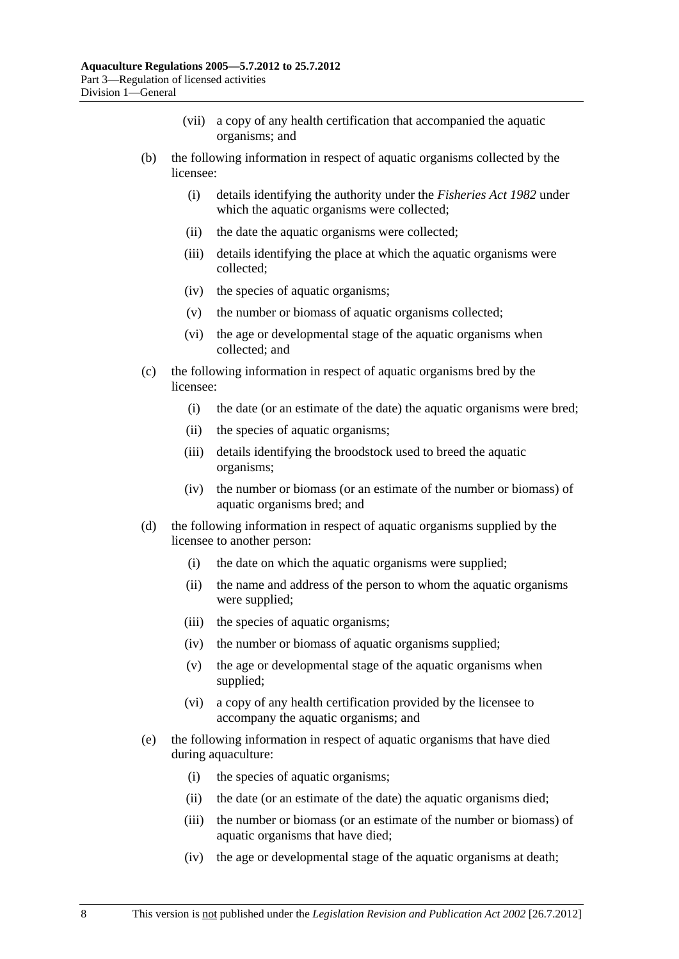- (vii) a copy of any health certification that accompanied the aquatic organisms; and
- (b) the following information in respect of aquatic organisms collected by the licensee:
	- (i) details identifying the authority under the *[Fisheries Act 1982](http://www.legislation.sa.gov.au/index.aspx?action=legref&type=act&legtitle=Fisheries%20Act%201982)* under which the aquatic organisms were collected;
	- (ii) the date the aquatic organisms were collected;
	- (iii) details identifying the place at which the aquatic organisms were collected;
	- (iv) the species of aquatic organisms;
	- (v) the number or biomass of aquatic organisms collected;
	- (vi) the age or developmental stage of the aquatic organisms when collected; and
- (c) the following information in respect of aquatic organisms bred by the licensee:
	- (i) the date (or an estimate of the date) the aquatic organisms were bred;
	- (ii) the species of aquatic organisms;
	- (iii) details identifying the broodstock used to breed the aquatic organisms;
	- (iv) the number or biomass (or an estimate of the number or biomass) of aquatic organisms bred; and
- (d) the following information in respect of aquatic organisms supplied by the licensee to another person:
	- (i) the date on which the aquatic organisms were supplied;
	- (ii) the name and address of the person to whom the aquatic organisms were supplied;
	- (iii) the species of aquatic organisms;
	- (iv) the number or biomass of aquatic organisms supplied;
	- (v) the age or developmental stage of the aquatic organisms when supplied;
	- (vi) a copy of any health certification provided by the licensee to accompany the aquatic organisms; and
- (e) the following information in respect of aquatic organisms that have died during aquaculture:
	- (i) the species of aquatic organisms;
	- (ii) the date (or an estimate of the date) the aquatic organisms died;
	- (iii) the number or biomass (or an estimate of the number or biomass) of aquatic organisms that have died;
	- (iv) the age or developmental stage of the aquatic organisms at death;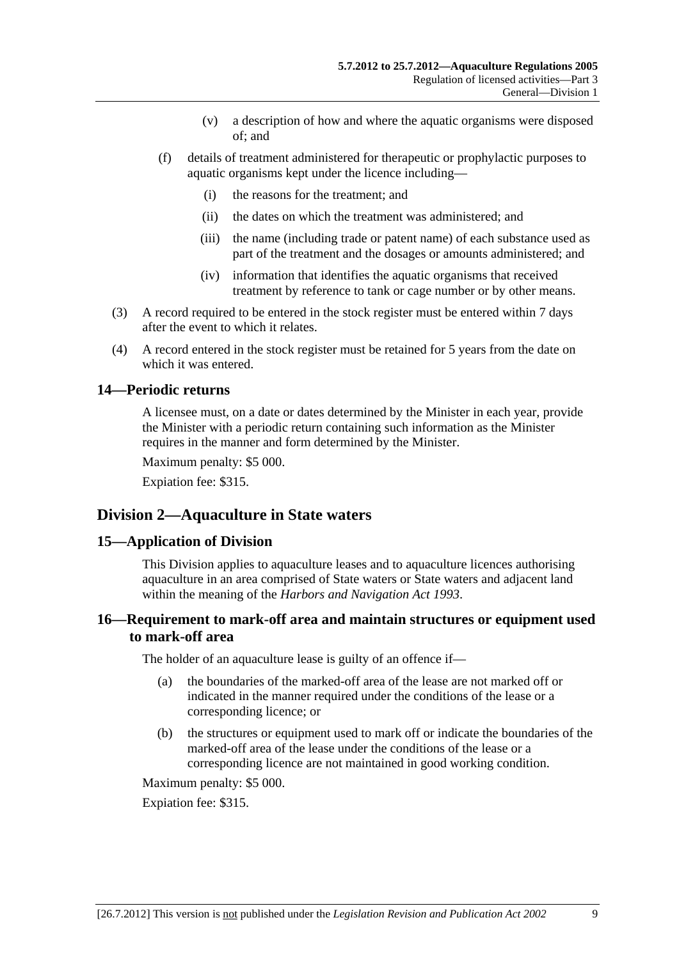- (v) a description of how and where the aquatic organisms were disposed of; and
- <span id="page-8-0"></span> (f) details of treatment administered for therapeutic or prophylactic purposes to aquatic organisms kept under the licence including—
	- (i) the reasons for the treatment; and
	- (ii) the dates on which the treatment was administered; and
	- (iii) the name (including trade or patent name) of each substance used as part of the treatment and the dosages or amounts administered; and
	- (iv) information that identifies the aquatic organisms that received treatment by reference to tank or cage number or by other means.
- (3) A record required to be entered in the stock register must be entered within 7 days after the event to which it relates.
- (4) A record entered in the stock register must be retained for 5 years from the date on which it was entered.

### **14—Periodic returns**

A licensee must, on a date or dates determined by the Minister in each year, provide the Minister with a periodic return containing such information as the Minister requires in the manner and form determined by the Minister.

Maximum penalty: \$5 000.

Expiation fee: \$315.

## **Division 2—Aquaculture in State waters**

#### **15—Application of Division**

This Division applies to aquaculture leases and to aquaculture licences authorising aquaculture in an area comprised of State waters or State waters and adjacent land within the meaning of the *[Harbors and Navigation Act 1993](http://www.legislation.sa.gov.au/index.aspx?action=legref&type=act&legtitle=Harbors%20and%20Navigation%20Act%201993)*.

## **16—Requirement to mark-off area and maintain structures or equipment used to mark-off area**

The holder of an aquaculture lease is guilty of an offence if—

- (a) the boundaries of the marked-off area of the lease are not marked off or indicated in the manner required under the conditions of the lease or a corresponding licence; or
- (b) the structures or equipment used to mark off or indicate the boundaries of the marked-off area of the lease under the conditions of the lease or a corresponding licence are not maintained in good working condition.

Maximum penalty: \$5 000.

Expiation fee: \$315.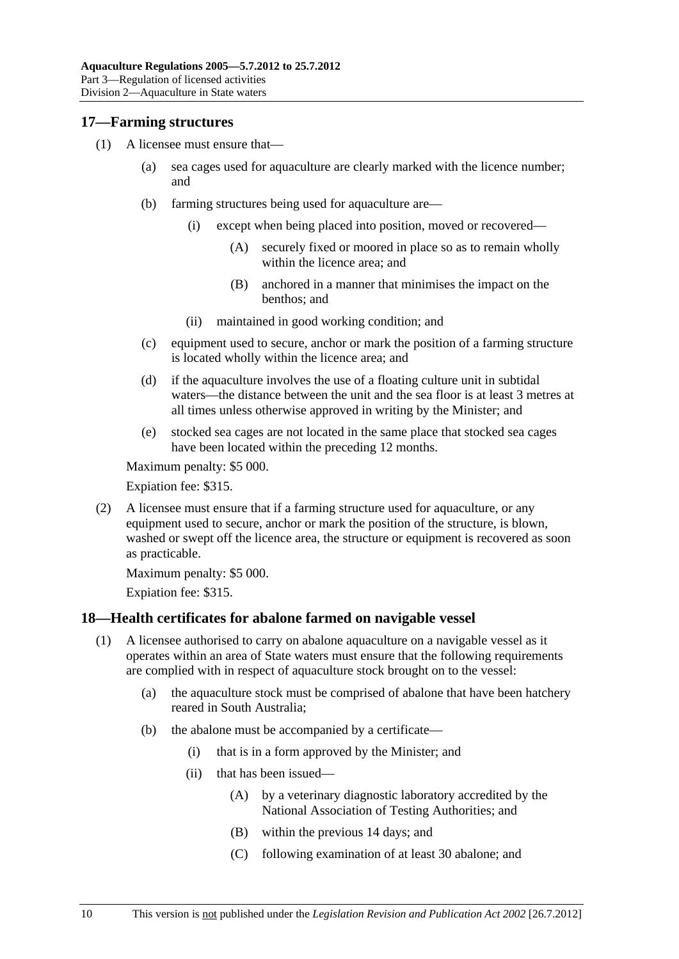### <span id="page-9-0"></span>**17—Farming structures**

- (1) A licensee must ensure that—
	- (a) sea cages used for aquaculture are clearly marked with the licence number; and
	- (b) farming structures being used for aquaculture are—
		- (i) except when being placed into position, moved or recovered—
			- (A) securely fixed or moored in place so as to remain wholly within the licence area; and
			- (B) anchored in a manner that minimises the impact on the benthos; and
		- (ii) maintained in good working condition; and
	- (c) equipment used to secure, anchor or mark the position of a farming structure is located wholly within the licence area; and
	- (d) if the aquaculture involves the use of a floating culture unit in subtidal waters—the distance between the unit and the sea floor is at least 3 metres at all times unless otherwise approved in writing by the Minister; and
	- (e) stocked sea cages are not located in the same place that stocked sea cages have been located within the preceding 12 months.

Maximum penalty: \$5 000.

Expiation fee: \$315.

 (2) A licensee must ensure that if a farming structure used for aquaculture, or any equipment used to secure, anchor or mark the position of the structure, is blown, washed or swept off the licence area, the structure or equipment is recovered as soon as practicable.

Maximum penalty: \$5 000.

Expiation fee: \$315.

## **18—Health certificates for abalone farmed on navigable vessel**

- (1) A licensee authorised to carry on abalone aquaculture on a navigable vessel as it operates within an area of State waters must ensure that the following requirements are complied with in respect of aquaculture stock brought on to the vessel:
	- (a) the aquaculture stock must be comprised of abalone that have been hatchery reared in South Australia;
	- (b) the abalone must be accompanied by a certificate—
		- (i) that is in a form approved by the Minister; and
		- (ii) that has been issued—
			- (A) by a veterinary diagnostic laboratory accredited by the National Association of Testing Authorities; and
			- (B) within the previous 14 days; and
			- (C) following examination of at least 30 abalone; and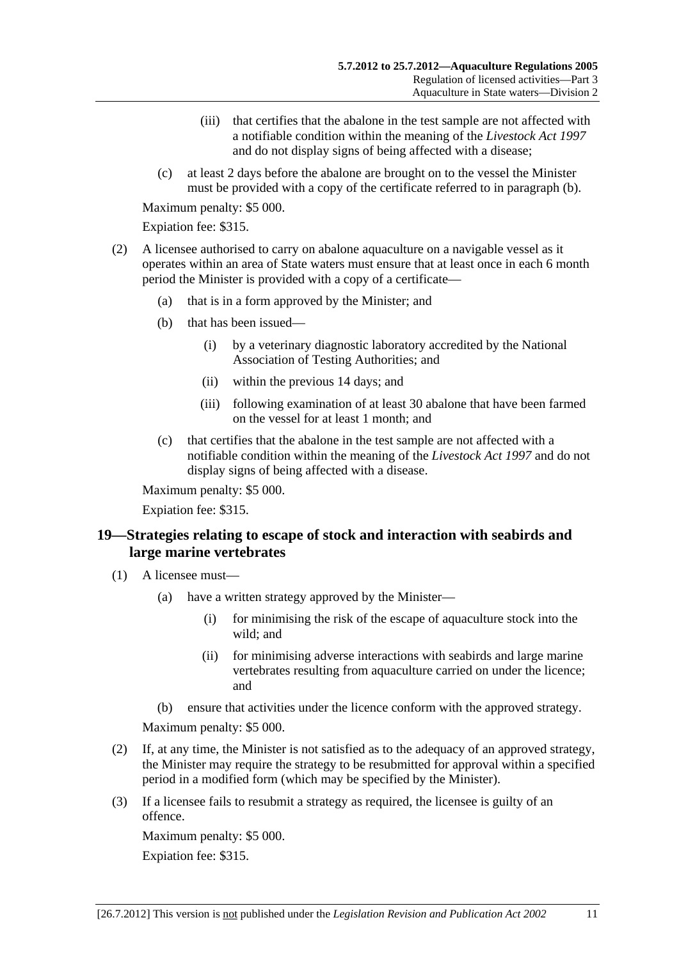- <span id="page-10-0"></span> (iii) that certifies that the abalone in the test sample are not affected with a notifiable condition within the meaning of the *[Livestock Act 1997](http://www.legislation.sa.gov.au/index.aspx?action=legref&type=act&legtitle=Livestock%20Act%201997)* and do not display signs of being affected with a disease;
- (c) at least 2 days before the abalone are brought on to the vessel the Minister must be provided with a copy of the certificate referred to in [paragraph \(b\)](#page-9-0).

Expiation fee: \$315.

- (2) A licensee authorised to carry on abalone aquaculture on a navigable vessel as it operates within an area of State waters must ensure that at least once in each 6 month period the Minister is provided with a copy of a certificate—
	- (a) that is in a form approved by the Minister; and
	- (b) that has been issued—
		- (i) by a veterinary diagnostic laboratory accredited by the National Association of Testing Authorities; and
		- (ii) within the previous 14 days; and
		- (iii) following examination of at least 30 abalone that have been farmed on the vessel for at least 1 month; and
	- (c) that certifies that the abalone in the test sample are not affected with a notifiable condition within the meaning of the *[Livestock Act 1997](http://www.legislation.sa.gov.au/index.aspx?action=legref&type=act&legtitle=Livestock%20Act%201997)* and do not display signs of being affected with a disease.

Maximum penalty: \$5 000.

Expiation fee: \$315.

## **19—Strategies relating to escape of stock and interaction with seabirds and large marine vertebrates**

- (1) A licensee must—
	- (a) have a written strategy approved by the Minister—
		- (i) for minimising the risk of the escape of aquaculture stock into the wild; and
		- (ii) for minimising adverse interactions with seabirds and large marine vertebrates resulting from aquaculture carried on under the licence; and
	- (b) ensure that activities under the licence conform with the approved strategy.

Maximum penalty: \$5 000.

- (2) If, at any time, the Minister is not satisfied as to the adequacy of an approved strategy, the Minister may require the strategy to be resubmitted for approval within a specified period in a modified form (which may be specified by the Minister).
- (3) If a licensee fails to resubmit a strategy as required, the licensee is guilty of an offence.

Maximum penalty: \$5 000. Expiation fee: \$315.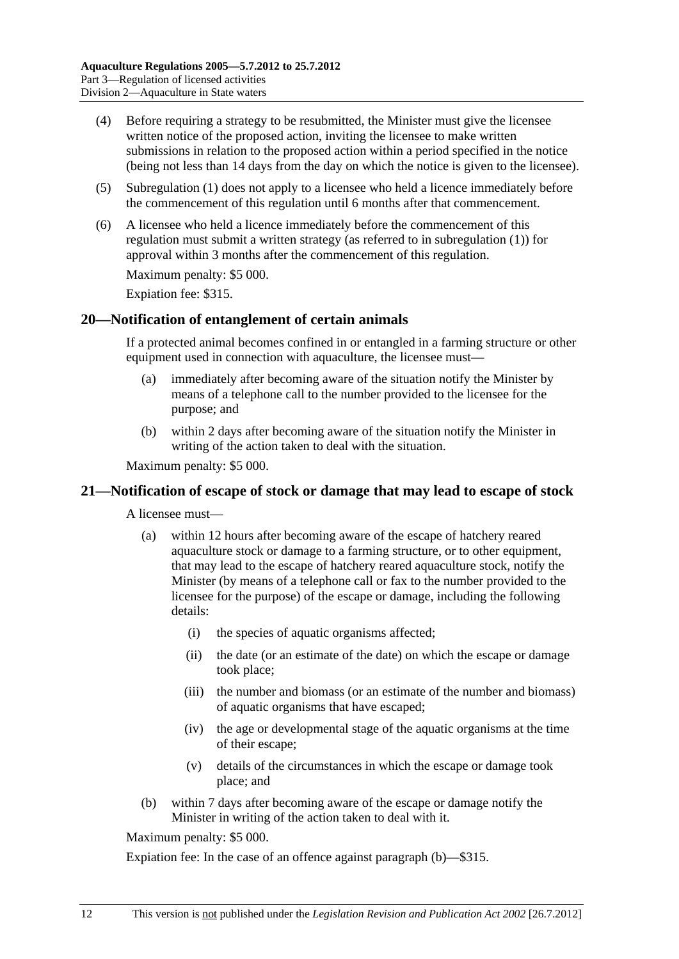- <span id="page-11-0"></span> (4) Before requiring a strategy to be resubmitted, the Minister must give the licensee written notice of the proposed action, inviting the licensee to make written submissions in relation to the proposed action within a period specified in the notice (being not less than 14 days from the day on which the notice is given to the licensee).
- (5) [Subregulation \(1\)](#page-10-0) does not apply to a licensee who held a licence immediately before the commencement of this regulation until 6 months after that commencement.
- (6) A licensee who held a licence immediately before the commencement of this regulation must submit a written strategy (as referred to in [subregulation \(1\)](#page-10-0)) for approval within 3 months after the commencement of this regulation.

Expiation fee: \$315.

### **20—Notification of entanglement of certain animals**

If a protected animal becomes confined in or entangled in a farming structure or other equipment used in connection with aquaculture, the licensee must-

- (a) immediately after becoming aware of the situation notify the Minister by means of a telephone call to the number provided to the licensee for the purpose; and
- (b) within 2 days after becoming aware of the situation notify the Minister in writing of the action taken to deal with the situation.

Maximum penalty: \$5 000.

#### **21—Notification of escape of stock or damage that may lead to escape of stock**

A licensee must—

- (a) within 12 hours after becoming aware of the escape of hatchery reared aquaculture stock or damage to a farming structure, or to other equipment, that may lead to the escape of hatchery reared aquaculture stock, notify the Minister (by means of a telephone call or fax to the number provided to the licensee for the purpose) of the escape or damage, including the following details:
	- (i) the species of aquatic organisms affected;
	- (ii) the date (or an estimate of the date) on which the escape or damage took place;
	- (iii) the number and biomass (or an estimate of the number and biomass) of aquatic organisms that have escaped;
	- (iv) the age or developmental stage of the aquatic organisms at the time of their escape;
	- (v) details of the circumstances in which the escape or damage took place; and
- (b) within 7 days after becoming aware of the escape or damage notify the Minister in writing of the action taken to deal with it.

Maximum penalty: \$5 000.

Expiation fee: In the case of an offence against [paragraph \(b\)—](#page-11-0)\$315.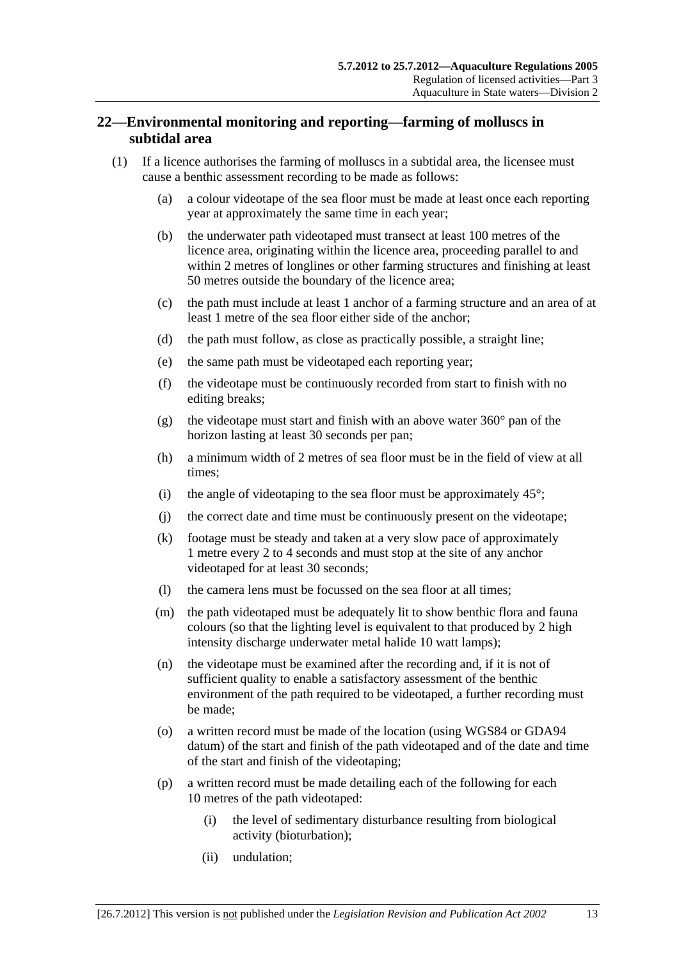## <span id="page-12-0"></span>**22—Environmental monitoring and reporting—farming of molluscs in subtidal area**

- (1) If a licence authorises the farming of molluscs in a subtidal area, the licensee must cause a benthic assessment recording to be made as follows:
	- (a) a colour videotape of the sea floor must be made at least once each reporting year at approximately the same time in each year;
	- (b) the underwater path videotaped must transect at least 100 metres of the licence area, originating within the licence area, proceeding parallel to and within 2 metres of longlines or other farming structures and finishing at least 50 metres outside the boundary of the licence area;
	- (c) the path must include at least 1 anchor of a farming structure and an area of at least 1 metre of the sea floor either side of the anchor;
	- (d) the path must follow, as close as practically possible, a straight line;
	- (e) the same path must be videotaped each reporting year;
	- (f) the videotape must be continuously recorded from start to finish with no editing breaks;
	- (g) the videotape must start and finish with an above water  $360^{\circ}$  pan of the horizon lasting at least 30 seconds per pan;
	- (h) a minimum width of 2 metres of sea floor must be in the field of view at all times;
	- (i) the angle of videotaping to the sea floor must be approximately  $45^{\circ}$ ;
	- (j) the correct date and time must be continuously present on the videotape;
	- (k) footage must be steady and taken at a very slow pace of approximately 1 metre every 2 to 4 seconds and must stop at the site of any anchor videotaped for at least 30 seconds;
	- (l) the camera lens must be focussed on the sea floor at all times;
	- (m) the path videotaped must be adequately lit to show benthic flora and fauna colours (so that the lighting level is equivalent to that produced by 2 high intensity discharge underwater metal halide 10 watt lamps);
	- (n) the videotape must be examined after the recording and, if it is not of sufficient quality to enable a satisfactory assessment of the benthic environment of the path required to be videotaped, a further recording must be made;
	- (o) a written record must be made of the location (using WGS84 or GDA94 datum) of the start and finish of the path videotaped and of the date and time of the start and finish of the videotaping;
	- (p) a written record must be made detailing each of the following for each 10 metres of the path videotaped:
		- (i) the level of sedimentary disturbance resulting from biological activity (bioturbation);
		- (ii) undulation;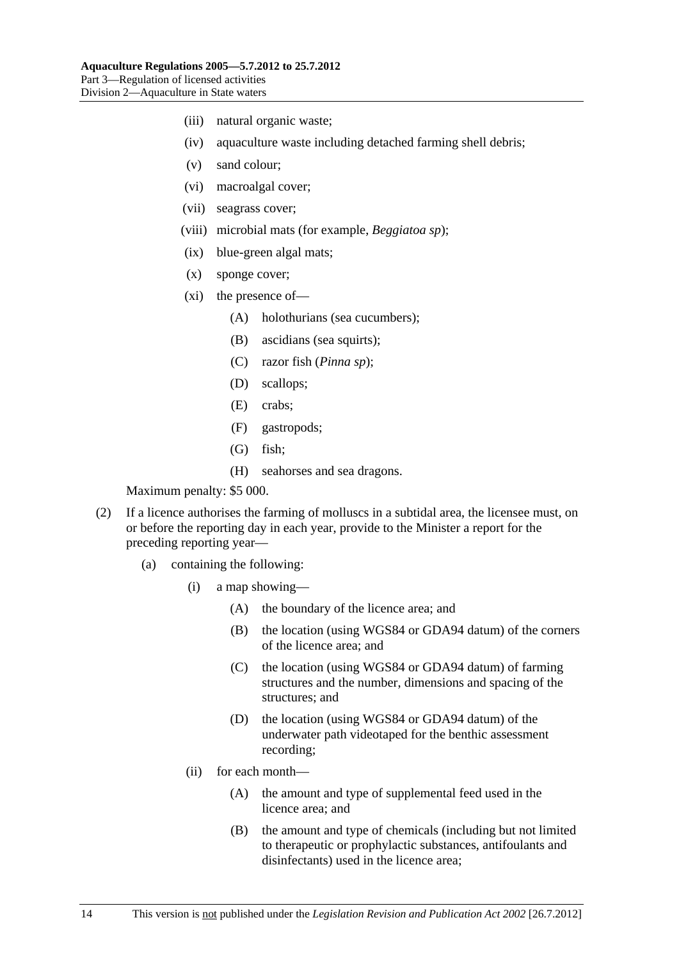- (iii) natural organic waste;
- (iv) aquaculture waste including detached farming shell debris;
- (v) sand colour;
- (vi) macroalgal cover;
- (vii) seagrass cover;
- (viii) microbial mats (for example, *Beggiatoa sp*);
- (ix) blue-green algal mats;
- (x) sponge cover;
- (xi) the presence of—
	- (A) holothurians (sea cucumbers);
	- (B) ascidians (sea squirts);
	- (C) razor fish (*Pinna sp*);
	- (D) scallops;
	- (E) crabs;
	- (F) gastropods;
	- (G) fish;
	- (H) seahorses and sea dragons.

- (2) If a licence authorises the farming of molluscs in a subtidal area, the licensee must, on or before the reporting day in each year, provide to the Minister a report for the preceding reporting year—
	- (a) containing the following:
		- (i) a map showing—
			- (A) the boundary of the licence area; and
			- (B) the location (using WGS84 or GDA94 datum) of the corners of the licence area; and
			- (C) the location (using WGS84 or GDA94 datum) of farming structures and the number, dimensions and spacing of the structures; and
			- (D) the location (using WGS84 or GDA94 datum) of the underwater path videotaped for the benthic assessment recording;
		- (ii) for each month—
			- (A) the amount and type of supplemental feed used in the licence area; and
			- (B) the amount and type of chemicals (including but not limited to therapeutic or prophylactic substances, antifoulants and disinfectants) used in the licence area;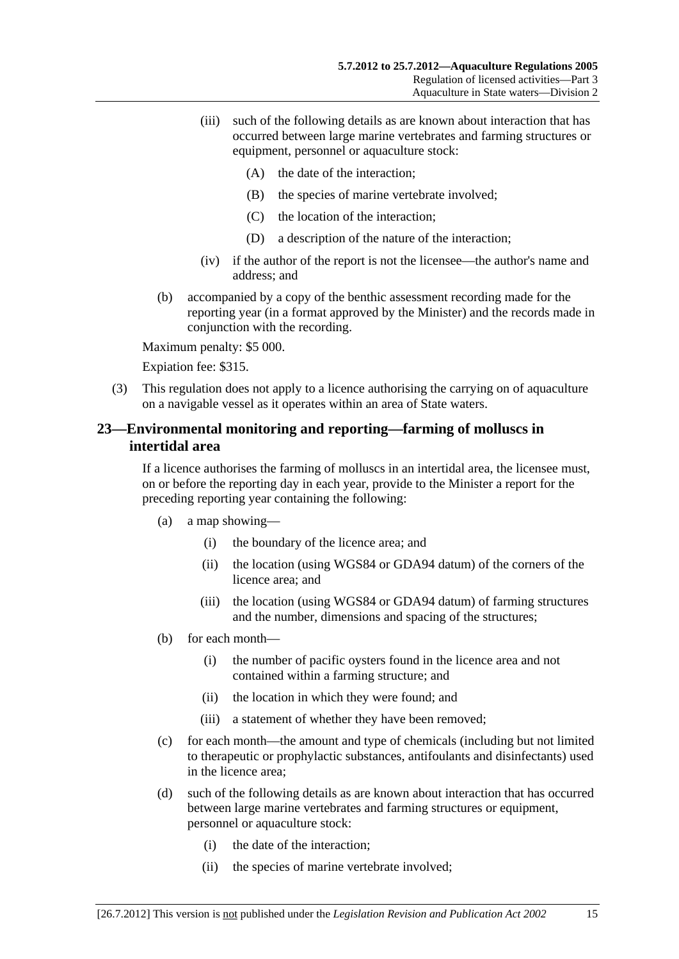- <span id="page-14-0"></span> (iii) such of the following details as are known about interaction that has occurred between large marine vertebrates and farming structures or equipment, personnel or aquaculture stock:
	- (A) the date of the interaction;
	- (B) the species of marine vertebrate involved;
	- (C) the location of the interaction;
	- (D) a description of the nature of the interaction;
- (iv) if the author of the report is not the licensee—the author's name and address; and
- (b) accompanied by a copy of the benthic assessment recording made for the reporting year (in a format approved by the Minister) and the records made in conjunction with the recording.

Expiation fee: \$315.

 (3) This regulation does not apply to a licence authorising the carrying on of aquaculture on a navigable vessel as it operates within an area of State waters.

## **23—Environmental monitoring and reporting—farming of molluscs in intertidal area**

If a licence authorises the farming of molluscs in an intertidal area, the licensee must, on or before the reporting day in each year, provide to the Minister a report for the preceding reporting year containing the following:

- (a) a map showing—
	- (i) the boundary of the licence area; and
	- (ii) the location (using WGS84 or GDA94 datum) of the corners of the licence area; and
	- (iii) the location (using WGS84 or GDA94 datum) of farming structures and the number, dimensions and spacing of the structures;
- (b) for each month—
	- (i) the number of pacific oysters found in the licence area and not contained within a farming structure; and
	- (ii) the location in which they were found; and
	- (iii) a statement of whether they have been removed;
- (c) for each month—the amount and type of chemicals (including but not limited to therapeutic or prophylactic substances, antifoulants and disinfectants) used in the licence area;
- (d) such of the following details as are known about interaction that has occurred between large marine vertebrates and farming structures or equipment, personnel or aquaculture stock:
	- (i) the date of the interaction;
	- (ii) the species of marine vertebrate involved;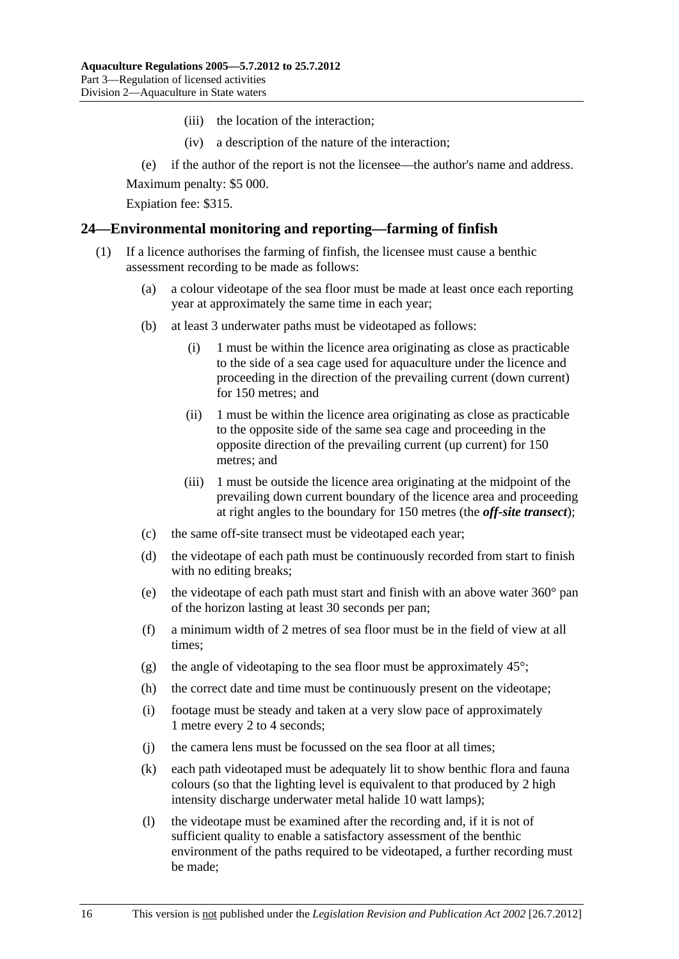- (iii) the location of the interaction;
- (iv) a description of the nature of the interaction;
- <span id="page-15-0"></span>(e) if the author of the report is not the licensee—the author's name and address.

Expiation fee: \$315.

### **24—Environmental monitoring and reporting—farming of finfish**

- (1) If a licence authorises the farming of finfish, the licensee must cause a benthic assessment recording to be made as follows:
	- (a) a colour videotape of the sea floor must be made at least once each reporting year at approximately the same time in each year;
	- (b) at least 3 underwater paths must be videotaped as follows:
		- (i) 1 must be within the licence area originating as close as practicable to the side of a sea cage used for aquaculture under the licence and proceeding in the direction of the prevailing current (down current) for 150 metres; and
		- (ii) 1 must be within the licence area originating as close as practicable to the opposite side of the same sea cage and proceeding in the opposite direction of the prevailing current (up current) for 150 metres; and
		- (iii) 1 must be outside the licence area originating at the midpoint of the prevailing down current boundary of the licence area and proceeding at right angles to the boundary for 150 metres (the *off-site transect*);
	- (c) the same off-site transect must be videotaped each year;
	- (d) the videotape of each path must be continuously recorded from start to finish with no editing breaks;
	- (e) the videotape of each path must start and finish with an above water 360° pan of the horizon lasting at least 30 seconds per pan;
	- (f) a minimum width of 2 metres of sea floor must be in the field of view at all times;
	- (g) the angle of videotaping to the sea floor must be approximately  $45^{\circ}$ ;
	- (h) the correct date and time must be continuously present on the videotape;
	- (i) footage must be steady and taken at a very slow pace of approximately 1 metre every 2 to 4 seconds;
	- (j) the camera lens must be focussed on the sea floor at all times;
	- (k) each path videotaped must be adequately lit to show benthic flora and fauna colours (so that the lighting level is equivalent to that produced by 2 high intensity discharge underwater metal halide 10 watt lamps);
	- (l) the videotape must be examined after the recording and, if it is not of sufficient quality to enable a satisfactory assessment of the benthic environment of the paths required to be videotaped, a further recording must be made;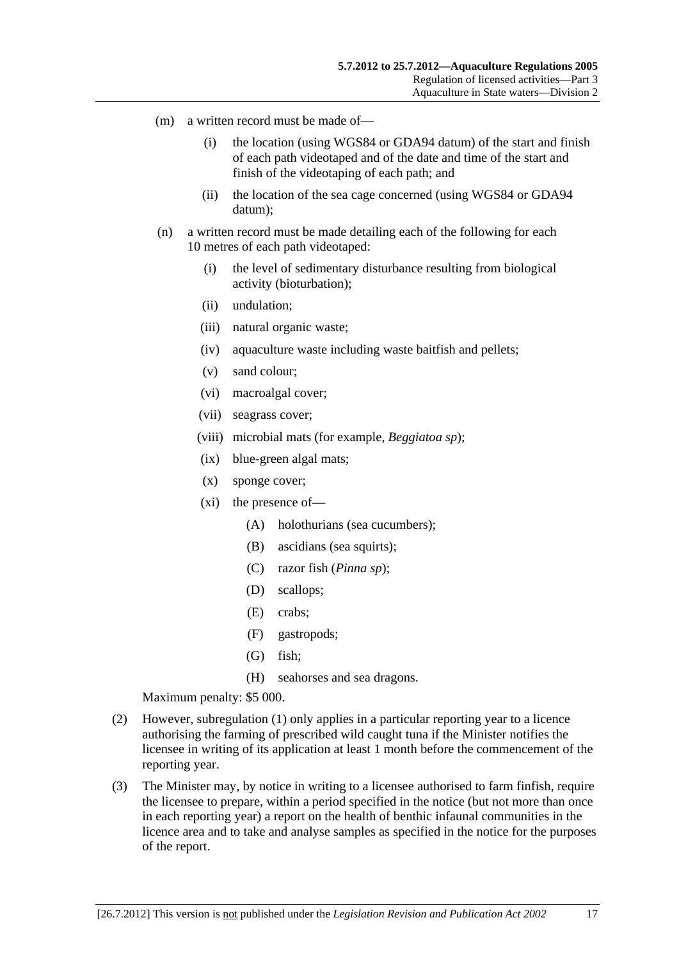- <span id="page-16-0"></span> (m) a written record must be made of—
	- (i) the location (using WGS84 or GDA94 datum) of the start and finish of each path videotaped and of the date and time of the start and finish of the videotaping of each path; and
	- (ii) the location of the sea cage concerned (using WGS84 or GDA94 datum);
- (n) a written record must be made detailing each of the following for each 10 metres of each path videotaped:
	- (i) the level of sedimentary disturbance resulting from biological activity (bioturbation);
	- (ii) undulation;
	- (iii) natural organic waste;
	- (iv) aquaculture waste including waste baitfish and pellets;
	- (v) sand colour;
	- (vi) macroalgal cover;
	- (vii) seagrass cover;
	- (viii) microbial mats (for example, *Beggiatoa sp*);
	- (ix) blue-green algal mats;
	- (x) sponge cover;
	- (xi) the presence of—
		- (A) holothurians (sea cucumbers);
		- (B) ascidians (sea squirts);
		- (C) razor fish (*Pinna sp*);
		- (D) scallops;
		- (E) crabs;
		- (F) gastropods;
		- (G) fish;
		- (H) seahorses and sea dragons.

- (2) However, [subregulation \(1\)](#page-15-0) only applies in a particular reporting year to a licence authorising the farming of prescribed wild caught tuna if the Minister notifies the licensee in writing of its application at least 1 month before the commencement of the reporting year.
- (3) The Minister may, by notice in writing to a licensee authorised to farm finfish, require the licensee to prepare, within a period specified in the notice (but not more than once in each reporting year) a report on the health of benthic infaunal communities in the licence area and to take and analyse samples as specified in the notice for the purposes of the report.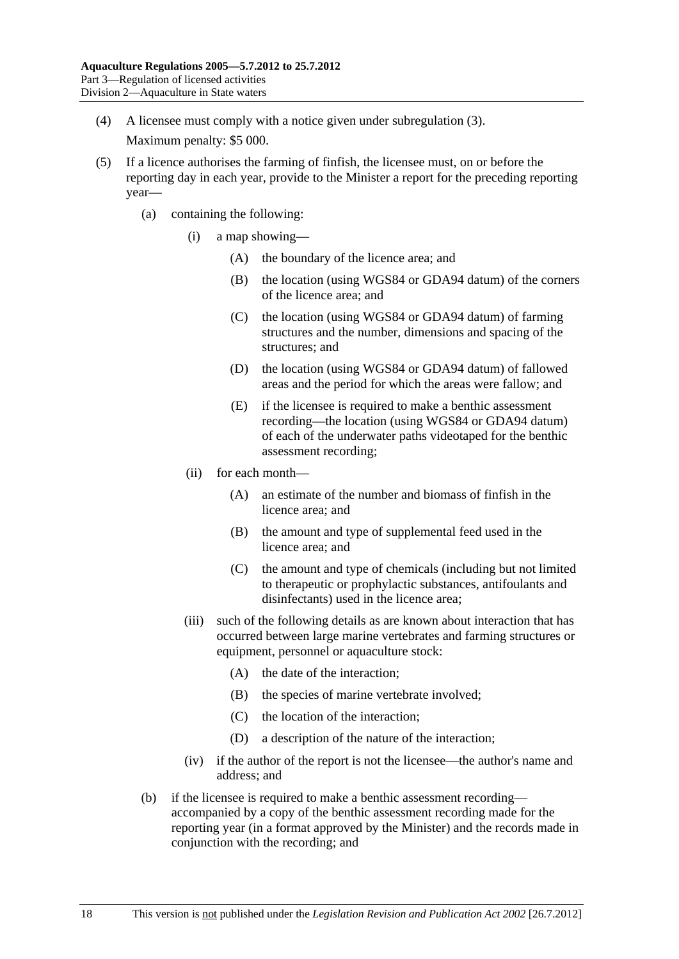- (4) A licensee must comply with a notice given under [subregulation \(3\).](#page-16-0) Maximum penalty: \$5 000.
- (5) If a licence authorises the farming of finfish, the licensee must, on or before the reporting day in each year, provide to the Minister a report for the preceding reporting year—
	- (a) containing the following:
		- (i) a map showing—
			- (A) the boundary of the licence area; and
			- (B) the location (using WGS84 or GDA94 datum) of the corners of the licence area; and
			- (C) the location (using WGS84 or GDA94 datum) of farming structures and the number, dimensions and spacing of the structures; and
			- (D) the location (using WGS84 or GDA94 datum) of fallowed areas and the period for which the areas were fallow; and
			- (E) if the licensee is required to make a benthic assessment recording—the location (using WGS84 or GDA94 datum) of each of the underwater paths videotaped for the benthic assessment recording;
		- (ii) for each month—
			- (A) an estimate of the number and biomass of finfish in the licence area; and
			- (B) the amount and type of supplemental feed used in the licence area; and
			- (C) the amount and type of chemicals (including but not limited to therapeutic or prophylactic substances, antifoulants and disinfectants) used in the licence area;
		- (iii) such of the following details as are known about interaction that has occurred between large marine vertebrates and farming structures or equipment, personnel or aquaculture stock:
			- (A) the date of the interaction;
			- (B) the species of marine vertebrate involved;
			- (C) the location of the interaction;
			- (D) a description of the nature of the interaction;
		- (iv) if the author of the report is not the licensee—the author's name and address; and
	- (b) if the licensee is required to make a benthic assessment recording accompanied by a copy of the benthic assessment recording made for the reporting year (in a format approved by the Minister) and the records made in conjunction with the recording; and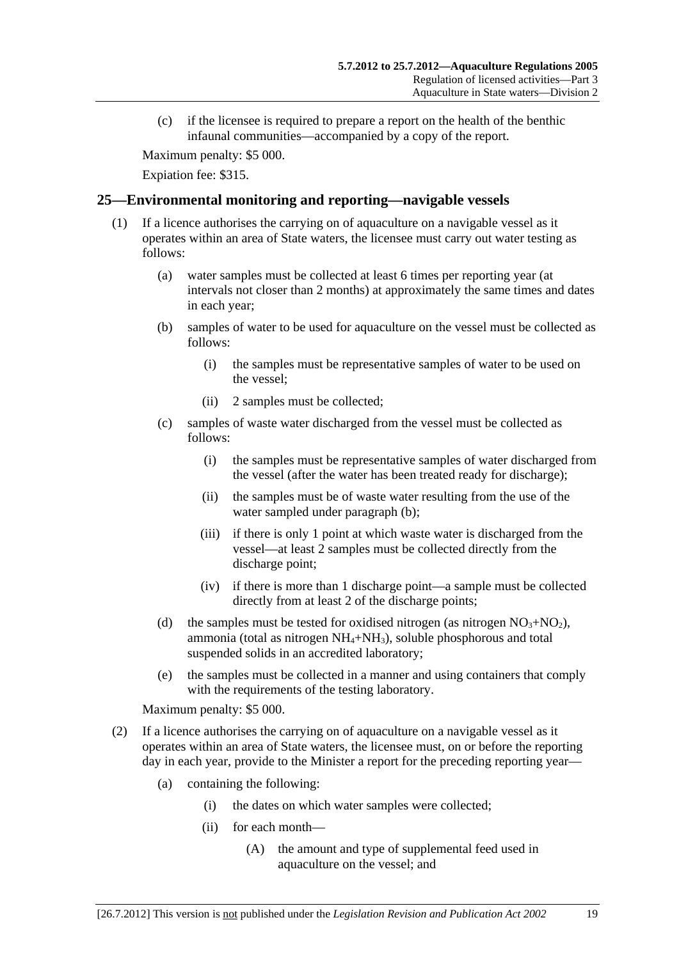<span id="page-18-0"></span> (c) if the licensee is required to prepare a report on the health of the benthic infaunal communities—accompanied by a copy of the report.

Maximum penalty: \$5 000.

Expiation fee: \$315.

## **25—Environmental monitoring and reporting—navigable vessels**

- (1) If a licence authorises the carrying on of aquaculture on a navigable vessel as it operates within an area of State waters, the licensee must carry out water testing as follows:
	- (a) water samples must be collected at least 6 times per reporting year (at intervals not closer than 2 months) at approximately the same times and dates in each year;
	- (b) samples of water to be used for aquaculture on the vessel must be collected as follows:
		- (i) the samples must be representative samples of water to be used on the vessel;
		- (ii) 2 samples must be collected;
	- (c) samples of waste water discharged from the vessel must be collected as follows:
		- (i) the samples must be representative samples of water discharged from the vessel (after the water has been treated ready for discharge);
		- (ii) the samples must be of waste water resulting from the use of the water sampled under [paragraph \(b\)](#page-18-0);
		- (iii) if there is only 1 point at which waste water is discharged from the vessel—at least 2 samples must be collected directly from the discharge point;
		- (iv) if there is more than 1 discharge point—a sample must be collected directly from at least 2 of the discharge points;
	- (d) the samples must be tested for oxidised nitrogen (as nitrogen  $NO<sub>3</sub>+NO<sub>2</sub>$ ), ammonia (total as nitrogen  $NH_4+NH_3$ ), soluble phosphorous and total suspended solids in an accredited laboratory;
	- (e) the samples must be collected in a manner and using containers that comply with the requirements of the testing laboratory.

Maximum penalty: \$5 000.

- (2) If a licence authorises the carrying on of aquaculture on a navigable vessel as it operates within an area of State waters, the licensee must, on or before the reporting day in each year, provide to the Minister a report for the preceding reporting year—
	- (a) containing the following:
		- (i) the dates on which water samples were collected;
		- (ii) for each month—
			- (A) the amount and type of supplemental feed used in aquaculture on the vessel; and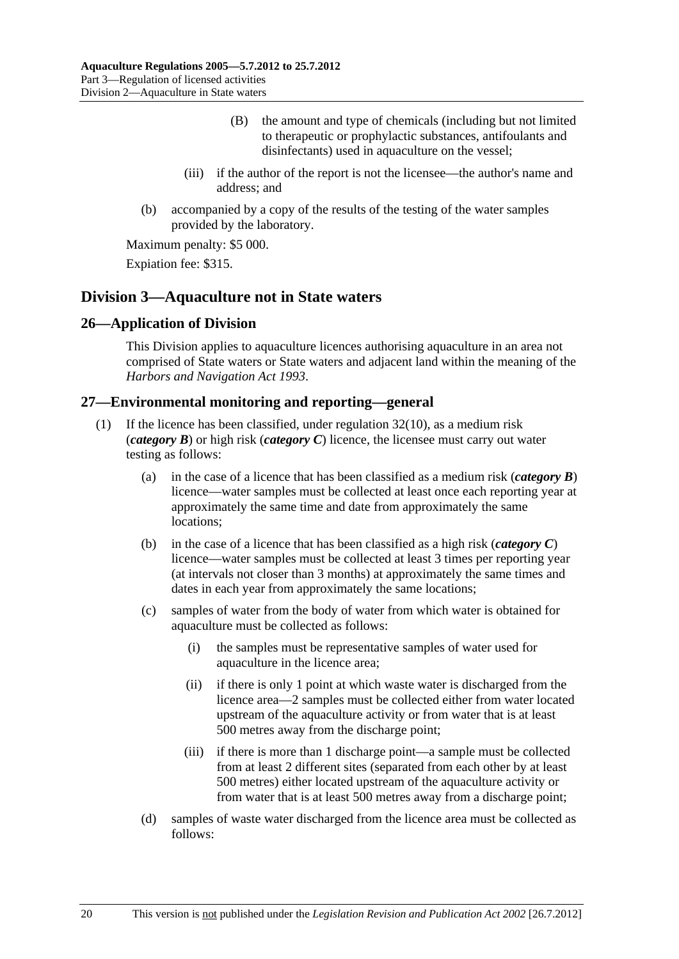- (B) the amount and type of chemicals (including but not limited to therapeutic or prophylactic substances, antifoulants and disinfectants) used in aquaculture on the vessel;
- <span id="page-19-0"></span> (iii) if the author of the report is not the licensee—the author's name and address; and
- (b) accompanied by a copy of the results of the testing of the water samples provided by the laboratory.

Expiation fee: \$315.

## **Division 3—Aquaculture not in State waters**

## **26—Application of Division**

This Division applies to aquaculture licences authorising aquaculture in an area not comprised of State waters or State waters and adjacent land within the meaning of the *[Harbors and Navigation Act 1993](http://www.legislation.sa.gov.au/index.aspx?action=legref&type=act&legtitle=Harbors%20and%20Navigation%20Act%201993)*.

### **27—Environmental monitoring and reporting—general**

- If the licence has been classified, under regulation  $32(10)$ , as a medium risk (*category B*) or high risk (*category C*) licence, the licensee must carry out water testing as follows:
	- (a) in the case of a licence that has been classified as a medium risk (*category B*) licence—water samples must be collected at least once each reporting year at approximately the same time and date from approximately the same locations;
	- (b) in the case of a licence that has been classified as a high risk (*category C*) licence—water samples must be collected at least 3 times per reporting year (at intervals not closer than 3 months) at approximately the same times and dates in each year from approximately the same locations;
	- (c) samples of water from the body of water from which water is obtained for aquaculture must be collected as follows:
		- (i) the samples must be representative samples of water used for aquaculture in the licence area;
		- (ii) if there is only 1 point at which waste water is discharged from the licence area—2 samples must be collected either from water located upstream of the aquaculture activity or from water that is at least 500 metres away from the discharge point;
		- (iii) if there is more than 1 discharge point—a sample must be collected from at least 2 different sites (separated from each other by at least 500 metres) either located upstream of the aquaculture activity or from water that is at least 500 metres away from a discharge point;
	- (d) samples of waste water discharged from the licence area must be collected as follows: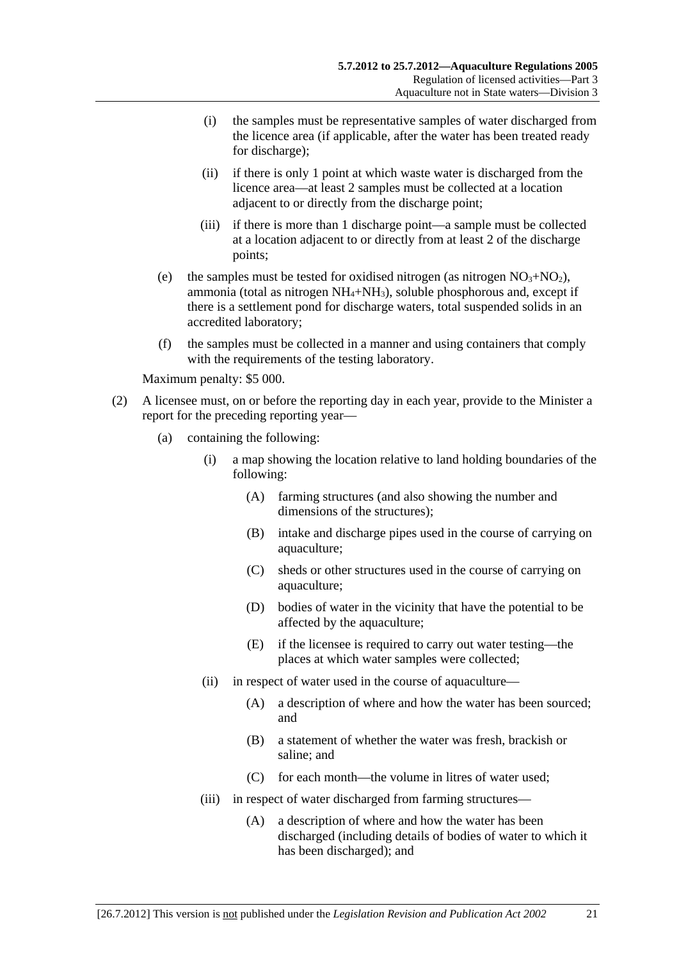- (i) the samples must be representative samples of water discharged from the licence area (if applicable, after the water has been treated ready for discharge);
- (ii) if there is only 1 point at which waste water is discharged from the licence area—at least 2 samples must be collected at a location adjacent to or directly from the discharge point;
- (iii) if there is more than 1 discharge point—a sample must be collected at a location adjacent to or directly from at least 2 of the discharge points;
- (e) the samples must be tested for oxidised nitrogen (as nitrogen  $NO<sub>3</sub>+NO<sub>2</sub>$ ), ammonia (total as nitrogen  $NH_4+NH_3$ ), soluble phosphorous and, except if there is a settlement pond for discharge waters, total suspended solids in an accredited laboratory;
- (f) the samples must be collected in a manner and using containers that comply with the requirements of the testing laboratory.

- (2) A licensee must, on or before the reporting day in each year, provide to the Minister a report for the preceding reporting year—
	- (a) containing the following:
		- (i) a map showing the location relative to land holding boundaries of the following:
			- (A) farming structures (and also showing the number and dimensions of the structures);
			- (B) intake and discharge pipes used in the course of carrying on aquaculture;
			- (C) sheds or other structures used in the course of carrying on aquaculture;
			- (D) bodies of water in the vicinity that have the potential to be affected by the aquaculture;
			- (E) if the licensee is required to carry out water testing—the places at which water samples were collected;
		- (ii) in respect of water used in the course of aquaculture—
			- (A) a description of where and how the water has been sourced; and
			- (B) a statement of whether the water was fresh, brackish or saline; and
			- (C) for each month—the volume in litres of water used;
		- (iii) in respect of water discharged from farming structures—
			- (A) a description of where and how the water has been discharged (including details of bodies of water to which it has been discharged); and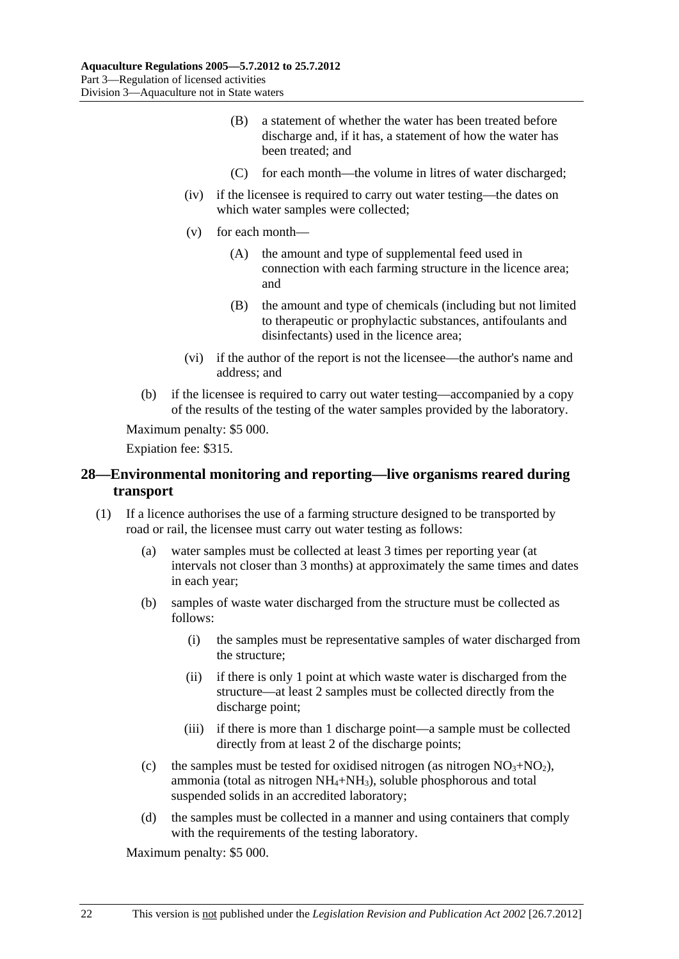- <span id="page-21-0"></span> (B) a statement of whether the water has been treated before discharge and, if it has, a statement of how the water has been treated; and
- (C) for each month—the volume in litres of water discharged;
- (iv) if the licensee is required to carry out water testing—the dates on which water samples were collected;
- (v) for each month—
	- (A) the amount and type of supplemental feed used in connection with each farming structure in the licence area; and
	- (B) the amount and type of chemicals (including but not limited to therapeutic or prophylactic substances, antifoulants and disinfectants) used in the licence area;
- (vi) if the author of the report is not the licensee—the author's name and address; and
- (b) if the licensee is required to carry out water testing—accompanied by a copy of the results of the testing of the water samples provided by the laboratory.

Expiation fee: \$315.

## **28—Environmental monitoring and reporting—live organisms reared during transport**

- (1) If a licence authorises the use of a farming structure designed to be transported by road or rail, the licensee must carry out water testing as follows:
	- (a) water samples must be collected at least 3 times per reporting year (at intervals not closer than 3 months) at approximately the same times and dates in each year;
	- (b) samples of waste water discharged from the structure must be collected as follows:
		- (i) the samples must be representative samples of water discharged from the structure;
		- (ii) if there is only 1 point at which waste water is discharged from the structure—at least 2 samples must be collected directly from the discharge point;
		- (iii) if there is more than 1 discharge point—a sample must be collected directly from at least 2 of the discharge points;
	- (c) the samples must be tested for oxidised nitrogen (as nitrogen  $NO<sub>3</sub>+NO<sub>2</sub>$ ), ammonia (total as nitrogen  $NH_4+NH_3$ ), soluble phosphorous and total suspended solids in an accredited laboratory;
	- (d) the samples must be collected in a manner and using containers that comply with the requirements of the testing laboratory.

Maximum penalty: \$5 000.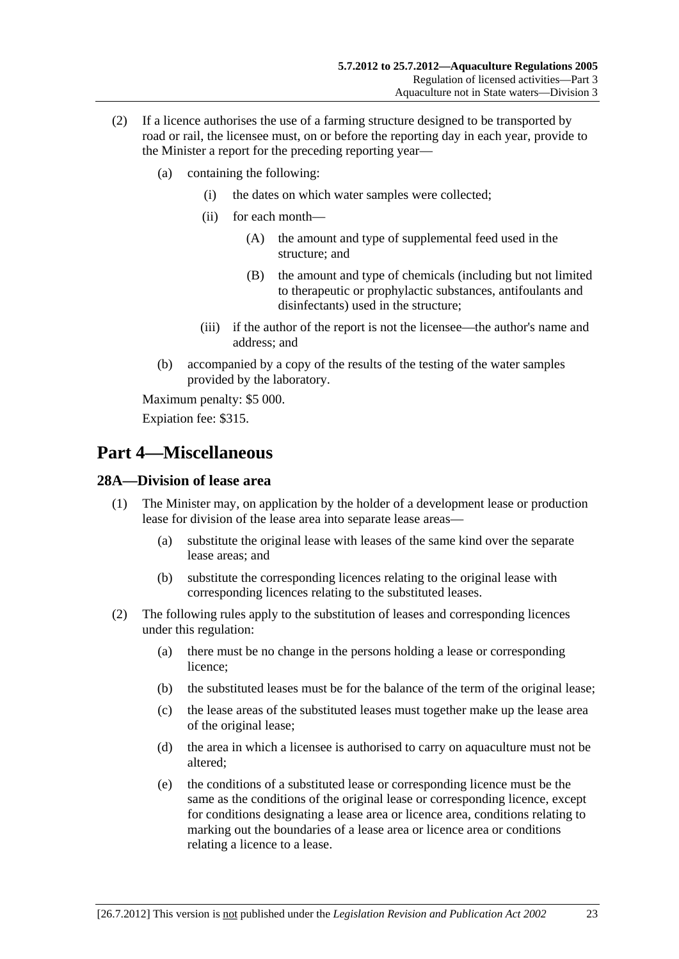- <span id="page-22-0"></span> (2) If a licence authorises the use of a farming structure designed to be transported by road or rail, the licensee must, on or before the reporting day in each year, provide to the Minister a report for the preceding reporting year—
	- (a) containing the following:
		- (i) the dates on which water samples were collected;
		- (ii) for each month—
			- (A) the amount and type of supplemental feed used in the structure; and
			- (B) the amount and type of chemicals (including but not limited to therapeutic or prophylactic substances, antifoulants and disinfectants) used in the structure;
		- (iii) if the author of the report is not the licensee—the author's name and address; and
	- (b) accompanied by a copy of the results of the testing of the water samples provided by the laboratory.

Expiation fee: \$315.

# **Part 4—Miscellaneous**

## **28A—Division of lease area**

- (1) The Minister may, on application by the holder of a development lease or production lease for division of the lease area into separate lease areas—
	- (a) substitute the original lease with leases of the same kind over the separate lease areas; and
	- (b) substitute the corresponding licences relating to the original lease with corresponding licences relating to the substituted leases.
- (2) The following rules apply to the substitution of leases and corresponding licences under this regulation:
	- (a) there must be no change in the persons holding a lease or corresponding licence;
	- (b) the substituted leases must be for the balance of the term of the original lease;
	- (c) the lease areas of the substituted leases must together make up the lease area of the original lease;
	- (d) the area in which a licensee is authorised to carry on aquaculture must not be altered;
	- (e) the conditions of a substituted lease or corresponding licence must be the same as the conditions of the original lease or corresponding licence, except for conditions designating a lease area or licence area, conditions relating to marking out the boundaries of a lease area or licence area or conditions relating a licence to a lease.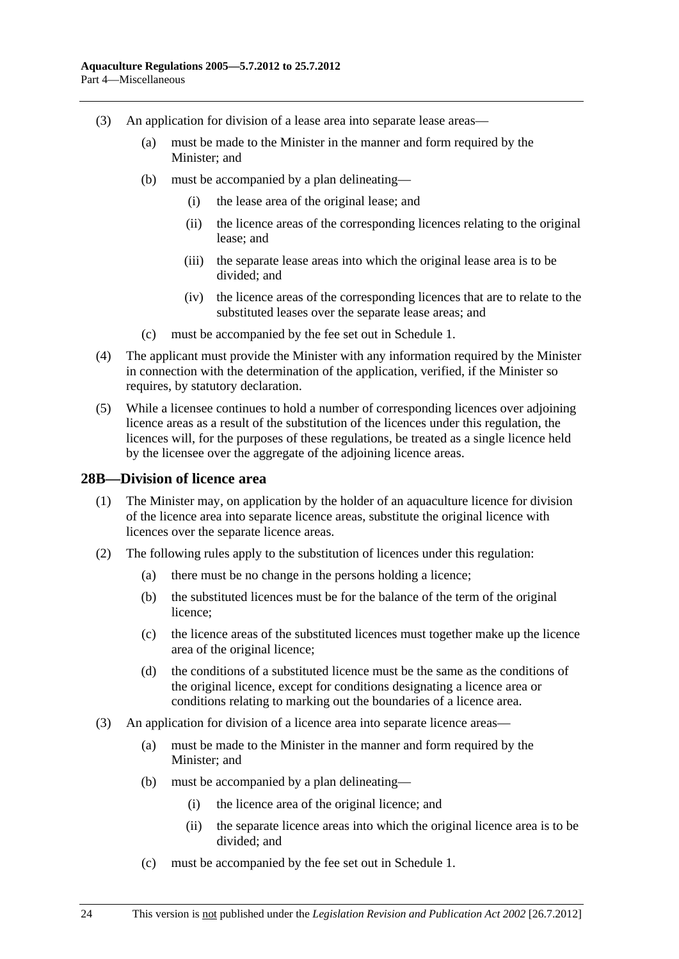- <span id="page-23-0"></span> (3) An application for division of a lease area into separate lease areas—
	- (a) must be made to the Minister in the manner and form required by the Minister; and
	- (b) must be accompanied by a plan delineating—
		- (i) the lease area of the original lease; and
		- (ii) the licence areas of the corresponding licences relating to the original lease; and
		- (iii) the separate lease areas into which the original lease area is to be divided; and
		- (iv) the licence areas of the corresponding licences that are to relate to the substituted leases over the separate lease areas; and
	- (c) must be accompanied by the fee set out in [Schedule 1.](#page-27-0)
- (4) The applicant must provide the Minister with any information required by the Minister in connection with the determination of the application, verified, if the Minister so requires, by statutory declaration.
- (5) While a licensee continues to hold a number of corresponding licences over adjoining licence areas as a result of the substitution of the licences under this regulation, the licences will, for the purposes of these regulations, be treated as a single licence held by the licensee over the aggregate of the adjoining licence areas.

#### **28B—Division of licence area**

- (1) The Minister may, on application by the holder of an aquaculture licence for division of the licence area into separate licence areas, substitute the original licence with licences over the separate licence areas.
- (2) The following rules apply to the substitution of licences under this regulation:
	- (a) there must be no change in the persons holding a licence;
	- (b) the substituted licences must be for the balance of the term of the original licence;
	- (c) the licence areas of the substituted licences must together make up the licence area of the original licence;
	- (d) the conditions of a substituted licence must be the same as the conditions of the original licence, except for conditions designating a licence area or conditions relating to marking out the boundaries of a licence area.
- (3) An application for division of a licence area into separate licence areas—
	- (a) must be made to the Minister in the manner and form required by the Minister; and
	- (b) must be accompanied by a plan delineating—
		- (i) the licence area of the original licence; and
		- (ii) the separate licence areas into which the original licence area is to be divided; and
	- (c) must be accompanied by the fee set out in [Schedule 1.](#page-27-0)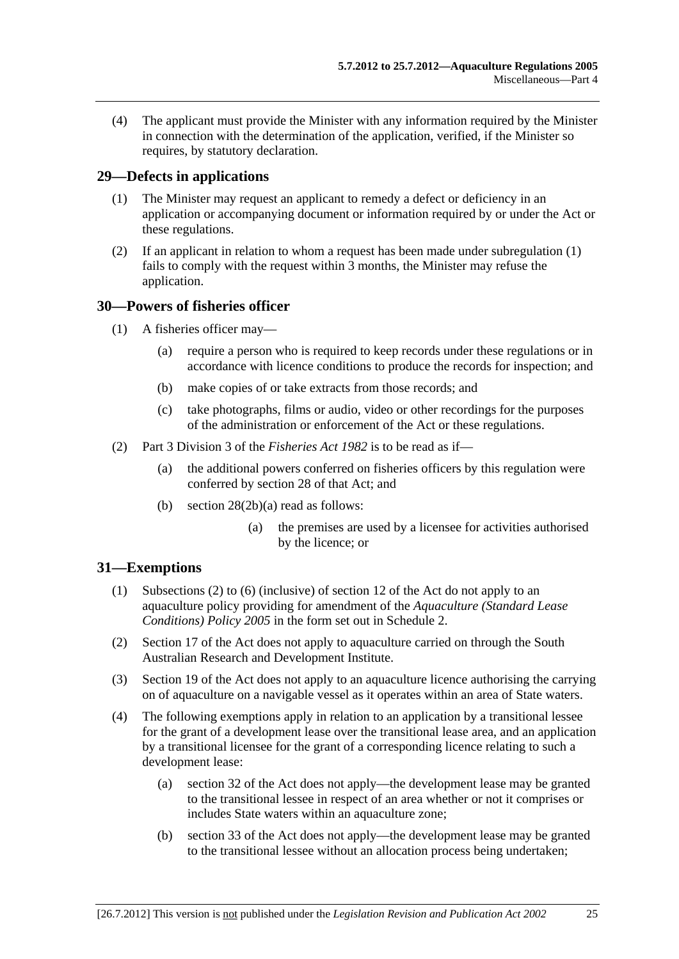<span id="page-24-0"></span> (4) The applicant must provide the Minister with any information required by the Minister in connection with the determination of the application, verified, if the Minister so requires, by statutory declaration.

## **29—Defects in applications**

- (1) The Minister may request an applicant to remedy a defect or deficiency in an application or accompanying document or information required by or under the Act or these regulations.
- (2) If an applicant in relation to whom a request has been made under [subregulation \(1\)](#page-24-0)  fails to comply with the request within 3 months, the Minister may refuse the application.

## **30—Powers of fisheries officer**

- (1) A fisheries officer may—
	- (a) require a person who is required to keep records under these regulations or in accordance with licence conditions to produce the records for inspection; and
	- (b) make copies of or take extracts from those records; and
	- (c) take photographs, films or audio, video or other recordings for the purposes of the administration or enforcement of the Act or these regulations.
- (2) Part 3 Division 3 of the *[Fisheries Act 1982](http://www.legislation.sa.gov.au/index.aspx?action=legref&type=act&legtitle=Fisheries%20Act%201982)* is to be read as if—
	- (a) the additional powers conferred on fisheries officers by this regulation were conferred by section 28 of that Act; and
	- (b) section 28(2b)(a) read as follows:
		- (a) the premises are used by a licensee for activities authorised by the licence; or

#### **31—Exemptions**

- (1) Subsections (2) to (6) (inclusive) of section 12 of the Act do not apply to an aquaculture policy providing for amendment of the *[Aquaculture \(Standard Lease](http://www.legislation.sa.gov.au/index.aspx?action=legref&type=subordleg&legtitle=Aquaculture%20(Standard%20Lease%20Conditions)%20Policy%202005)  [Conditions\) Policy 2005](http://www.legislation.sa.gov.au/index.aspx?action=legref&type=subordleg&legtitle=Aquaculture%20(Standard%20Lease%20Conditions)%20Policy%202005)* in the form set out in [Schedule 2.](#page-0-0)
- (2) Section 17 of the Act does not apply to aquaculture carried on through the South Australian Research and Development Institute.
- (3) Section 19 of the Act does not apply to an aquaculture licence authorising the carrying on of aquaculture on a navigable vessel as it operates within an area of State waters.
- (4) The following exemptions apply in relation to an application by a transitional lessee for the grant of a development lease over the transitional lease area, and an application by a transitional licensee for the grant of a corresponding licence relating to such a development lease:
	- (a) section 32 of the Act does not apply—the development lease may be granted to the transitional lessee in respect of an area whether or not it comprises or includes State waters within an aquaculture zone;
	- (b) section 33 of the Act does not apply—the development lease may be granted to the transitional lessee without an allocation process being undertaken;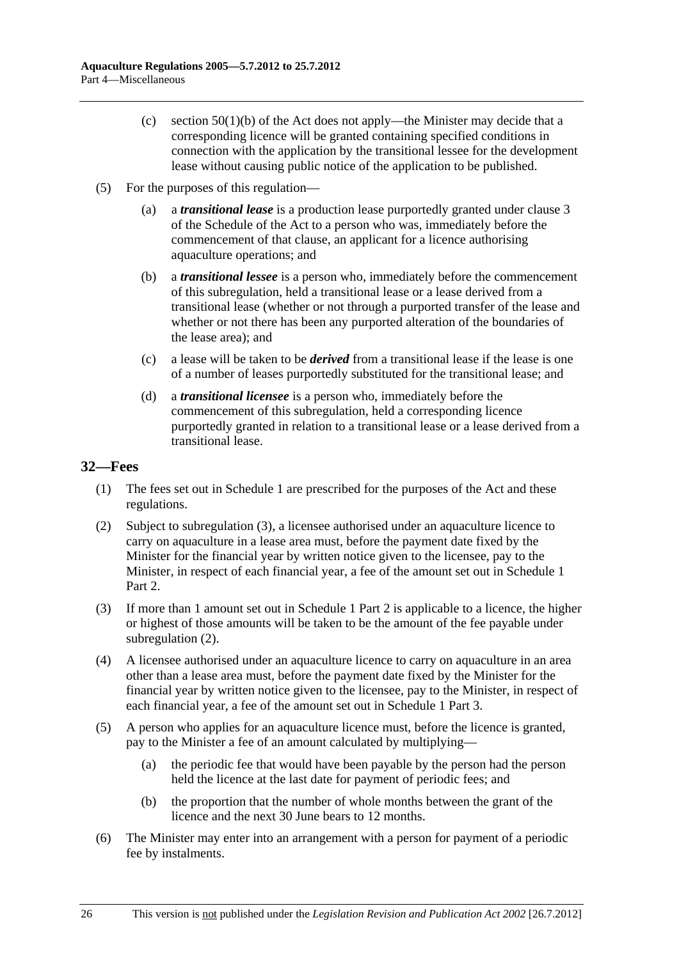- <span id="page-25-0"></span>(c) section  $50(1)(b)$  of the Act does not apply—the Minister may decide that a corresponding licence will be granted containing specified conditions in connection with the application by the transitional lessee for the development lease without causing public notice of the application to be published.
- (5) For the purposes of this regulation—
	- (a) a *transitional lease* is a production lease purportedly granted under clause 3 of the Schedule of the Act to a person who was, immediately before the commencement of that clause, an applicant for a licence authorising aquaculture operations; and
	- (b) a *transitional lessee* is a person who, immediately before the commencement of this subregulation, held a transitional lease or a lease derived from a transitional lease (whether or not through a purported transfer of the lease and whether or not there has been any purported alteration of the boundaries of the lease area); and
	- (c) a lease will be taken to be *derived* from a transitional lease if the lease is one of a number of leases purportedly substituted for the transitional lease; and
	- (d) a *transitional licensee* is a person who, immediately before the commencement of this subregulation, held a corresponding licence purportedly granted in relation to a transitional lease or a lease derived from a transitional lease.

## **32—Fees**

- (1) The fees set out in [Schedule 1](#page-27-0) are prescribed for the purposes of the Act and these regulations.
- (2) Subject to [subregulation \(3\),](#page-0-0) a licensee authorised under an aquaculture licence to carry on aquaculture in a lease area must, before the payment date fixed by the Minister for the financial year by written notice given to the licensee, pay to the Minister, in respect of each financial year, a fee of the amount set out in [Schedule 1](#page-27-0) Part 2.
- (3) If more than 1 amount set out in [Schedule 1](#page-27-0) Part 2 is applicable to a licence, the higher or highest of those amounts will be taken to be the amount of the fee payable under subregulation  $(2)$ .
- (4) A licensee authorised under an aquaculture licence to carry on aquaculture in an area other than a lease area must, before the payment date fixed by the Minister for the financial year by written notice given to the licensee, pay to the Minister, in respect of each financial year, a fee of the amount set out in [Schedule 1](#page-27-0) Part 3.
- (5) A person who applies for an aquaculture licence must, before the licence is granted, pay to the Minister a fee of an amount calculated by multiplying—
	- (a) the periodic fee that would have been payable by the person had the person held the licence at the last date for payment of periodic fees; and
	- (b) the proportion that the number of whole months between the grant of the licence and the next 30 June bears to 12 months.
- (6) The Minister may enter into an arrangement with a person for payment of a periodic fee by instalments.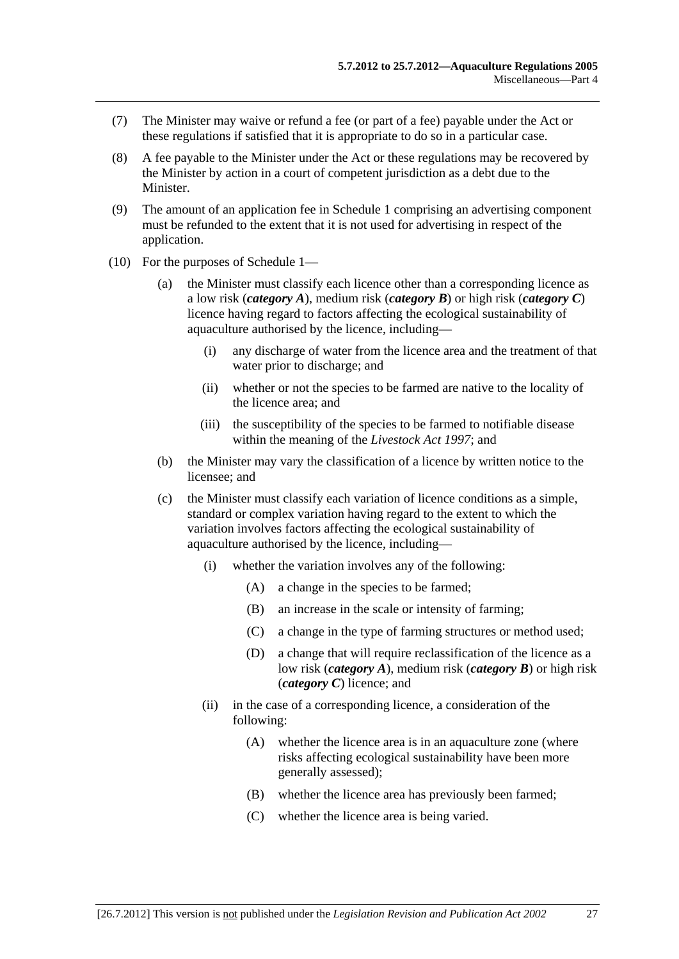- <span id="page-26-0"></span> (7) The Minister may waive or refund a fee (or part of a fee) payable under the Act or these regulations if satisfied that it is appropriate to do so in a particular case.
- (8) A fee payable to the Minister under the Act or these regulations may be recovered by the Minister by action in a court of competent jurisdiction as a debt due to the Minister.
- (9) The amount of an application fee in [Schedule 1](#page-27-0) comprising an advertising component must be refunded to the extent that it is not used for advertising in respect of the application.
- (10) For the purposes of [Schedule 1—](#page-27-0)
	- (a) the Minister must classify each licence other than a corresponding licence as a low risk (*category A*), medium risk (*category B*) or high risk (*category C*) licence having regard to factors affecting the ecological sustainability of aquaculture authorised by the licence, including—
		- (i) any discharge of water from the licence area and the treatment of that water prior to discharge; and
		- (ii) whether or not the species to be farmed are native to the locality of the licence area; and
		- (iii) the susceptibility of the species to be farmed to notifiable disease within the meaning of the *[Livestock Act 1997](http://www.legislation.sa.gov.au/index.aspx?action=legref&type=act&legtitle=Livestock%20Act%201997)*; and
	- (b) the Minister may vary the classification of a licence by written notice to the licensee; and
	- (c) the Minister must classify each variation of licence conditions as a simple, standard or complex variation having regard to the extent to which the variation involves factors affecting the ecological sustainability of aquaculture authorised by the licence, including—
		- (i) whether the variation involves any of the following:
			- (A) a change in the species to be farmed;
			- (B) an increase in the scale or intensity of farming;
			- (C) a change in the type of farming structures or method used;
			- (D) a change that will require reclassification of the licence as a low risk (*category A*), medium risk (*category B*) or high risk (*category C*) licence; and
		- (ii) in the case of a corresponding licence, a consideration of the following:
			- (A) whether the licence area is in an aquaculture zone (where risks affecting ecological sustainability have been more generally assessed);
			- (B) whether the licence area has previously been farmed;
			- (C) whether the licence area is being varied.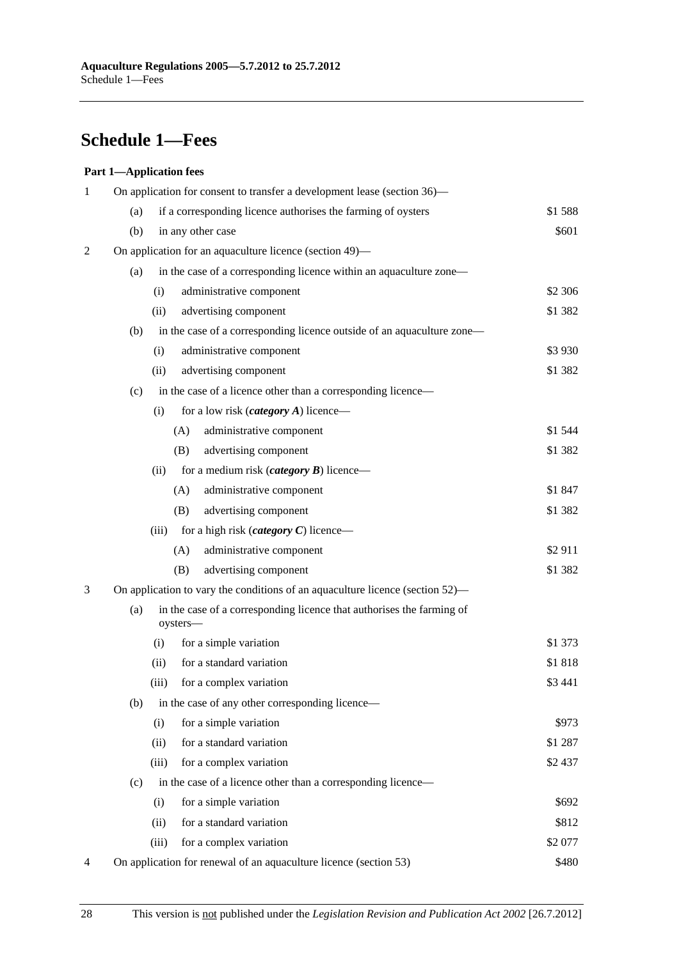# <span id="page-27-0"></span>**Schedule 1—Fees**

#### **Part 1—Application fees**

| 1 | On application for consent to transfer a development lease (section 36)— |                                                                                   |          |  |
|---|--------------------------------------------------------------------------|-----------------------------------------------------------------------------------|----------|--|
|   | (a)                                                                      | if a corresponding licence authorises the farming of oysters                      | \$1588   |  |
|   | (b)                                                                      | in any other case                                                                 | \$601    |  |
| 2 |                                                                          | On application for an aquaculture licence (section 49)—                           |          |  |
|   | (a)                                                                      | in the case of a corresponding licence within an aquaculture zone—                |          |  |
|   |                                                                          | administrative component<br>(i)                                                   | \$2 306  |  |
|   |                                                                          | advertising component<br>(ii)                                                     | \$1 382  |  |
|   | (b)                                                                      | in the case of a corresponding licence outside of an aquaculture zone—            |          |  |
|   |                                                                          | (i)<br>administrative component                                                   | \$3 9 30 |  |
|   |                                                                          | advertising component<br>(ii)                                                     | \$1 382  |  |
|   | (c)                                                                      | in the case of a licence other than a corresponding licence-                      |          |  |
|   |                                                                          | for a low risk ( <i>category A</i> ) licence—<br>(i)                              |          |  |
|   |                                                                          | (A)<br>administrative component                                                   | \$1 544  |  |
|   |                                                                          | advertising component<br>(B)                                                      | \$1 382  |  |
|   |                                                                          | (ii)<br>for a medium risk ( <i>category</i> $\bm{B}$ ) licence—                   |          |  |
|   |                                                                          | (A)<br>administrative component                                                   | \$1847   |  |
|   |                                                                          | (B)<br>advertising component                                                      | \$1 382  |  |
|   |                                                                          | for a high risk ( <i>category</i> $C$ ) licence—<br>(iii)                         |          |  |
|   |                                                                          | (A)<br>administrative component                                                   | \$2911   |  |
|   |                                                                          | advertising component<br>(B)                                                      | \$1 382  |  |
| 3 |                                                                          | On application to vary the conditions of an aquaculture licence (section 52)—     |          |  |
|   | (a)                                                                      | in the case of a corresponding licence that authorises the farming of<br>oysters- |          |  |
|   |                                                                          | for a simple variation<br>(i)                                                     | \$1 373  |  |
|   |                                                                          | for a standard variation<br>(ii)                                                  | \$1818   |  |
|   |                                                                          | (iii)<br>for a complex variation                                                  | \$3 441  |  |
|   | (b)                                                                      | in the case of any other corresponding licence—                                   |          |  |
|   |                                                                          | for a simple variation<br>(i)                                                     | \$973    |  |
|   |                                                                          | for a standard variation<br>(ii)                                                  | \$1 287  |  |
|   |                                                                          | (iii)<br>for a complex variation                                                  | \$2 437  |  |
|   | (c)                                                                      | in the case of a licence other than a corresponding licence—                      |          |  |
|   |                                                                          | for a simple variation<br>(i)                                                     | \$692    |  |
|   |                                                                          | for a standard variation<br>(ii)                                                  | \$812    |  |
|   |                                                                          | for a complex variation<br>(iii)                                                  | \$2 077  |  |
| 4 |                                                                          | On application for renewal of an aquaculture licence (section 53)                 | \$480    |  |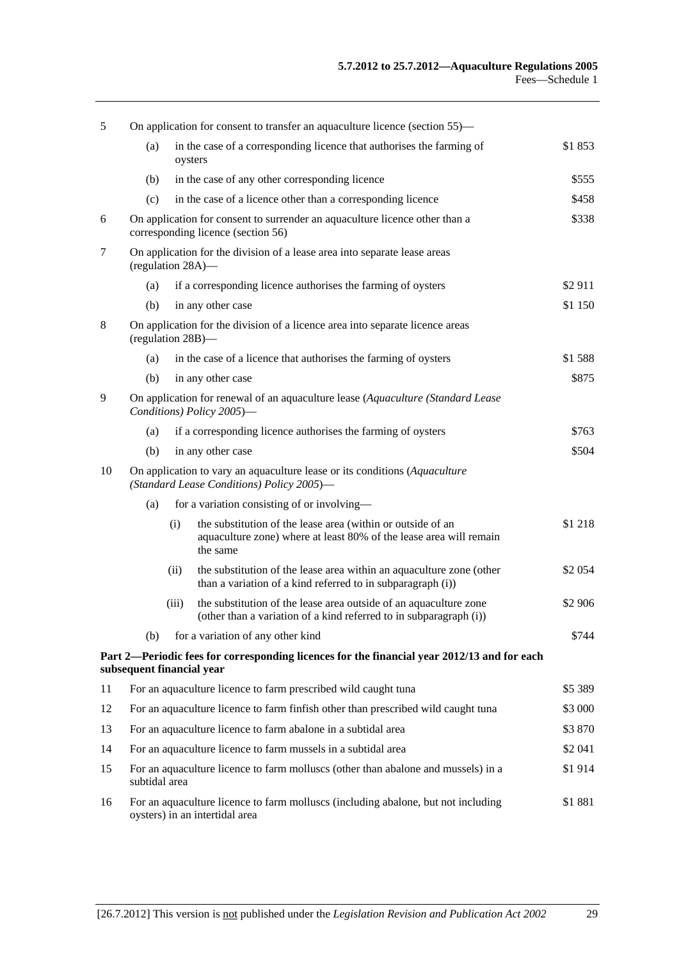| 5  | On application for consent to transfer an aquaculture licence (section 55)—                                             |                                                                                                                   |                                                                                                                                               |          |
|----|-------------------------------------------------------------------------------------------------------------------------|-------------------------------------------------------------------------------------------------------------------|-----------------------------------------------------------------------------------------------------------------------------------------------|----------|
|    | (a)                                                                                                                     | oysters                                                                                                           | in the case of a corresponding licence that authorises the farming of                                                                         | \$1853   |
|    | (b)                                                                                                                     |                                                                                                                   | in the case of any other corresponding licence                                                                                                | \$555    |
|    | (c)                                                                                                                     |                                                                                                                   | in the case of a licence other than a corresponding licence                                                                                   | \$458    |
| 6  |                                                                                                                         | On application for consent to surrender an aquaculture licence other than a<br>corresponding licence (section 56) |                                                                                                                                               |          |
| 7  | On application for the division of a lease area into separate lease areas<br>(regulation 28A)—                          |                                                                                                                   |                                                                                                                                               |          |
|    | (a)                                                                                                                     |                                                                                                                   | if a corresponding licence authorises the farming of oysters                                                                                  | \$2911   |
|    | (b)                                                                                                                     |                                                                                                                   | in any other case                                                                                                                             | \$1 150  |
| 8  | On application for the division of a licence area into separate licence areas<br>(regulation 28B)-                      |                                                                                                                   |                                                                                                                                               |          |
|    | (a)                                                                                                                     |                                                                                                                   | in the case of a licence that authorises the farming of oysters                                                                               | \$1 588  |
|    | (b)                                                                                                                     |                                                                                                                   | in any other case                                                                                                                             | \$875    |
| 9  | On application for renewal of an aquaculture lease (Aquaculture (Standard Lease<br>Conditions) Policy 2005)-            |                                                                                                                   |                                                                                                                                               |          |
|    | (a)                                                                                                                     |                                                                                                                   | if a corresponding licence authorises the farming of oysters                                                                                  | \$763    |
|    | (b)                                                                                                                     |                                                                                                                   | in any other case                                                                                                                             | \$504    |
| 10 | On application to vary an aquaculture lease or its conditions (Aquaculture<br>(Standard Lease Conditions) Policy 2005)- |                                                                                                                   |                                                                                                                                               |          |
|    | (a)                                                                                                                     |                                                                                                                   | for a variation consisting of or involving-                                                                                                   |          |
|    |                                                                                                                         | (i)                                                                                                               | the substitution of the lease area (within or outside of an<br>aquaculture zone) where at least 80% of the lease area will remain<br>the same | \$1 218  |
|    |                                                                                                                         | (ii)                                                                                                              | the substitution of the lease area within an aquaculture zone (other<br>than a variation of a kind referred to in subparagraph (i))           | \$2 0 54 |
|    |                                                                                                                         | (iii)                                                                                                             | the substitution of the lease area outside of an aquaculture zone<br>(other than a variation of a kind referred to in subparagraph (i))       | \$2 906  |
|    | (b)                                                                                                                     |                                                                                                                   | for a variation of any other kind                                                                                                             | \$744    |
|    | subsequent financial year                                                                                               |                                                                                                                   | Part 2—Periodic fees for corresponding licences for the financial year 2012/13 and for each                                                   |          |
| 11 |                                                                                                                         |                                                                                                                   | For an aquaculture licence to farm prescribed wild caught tuna                                                                                | \$5 389  |
| 12 |                                                                                                                         |                                                                                                                   | For an aquaculture licence to farm finfish other than prescribed wild caught tuna                                                             | \$3 000  |
| 13 |                                                                                                                         |                                                                                                                   | For an aquaculture licence to farm abalone in a subtidal area                                                                                 | \$3 870  |
| 14 | For an aquaculture licence to farm mussels in a subtidal area                                                           |                                                                                                                   |                                                                                                                                               | \$2 041  |
| 15 | For an aquaculture licence to farm molluscs (other than abalone and mussels) in a<br>subtidal area                      |                                                                                                                   |                                                                                                                                               | \$1914   |
| 16 | For an aquaculture licence to farm molluscs (including abalone, but not including<br>oysters) in an intertidal area     |                                                                                                                   |                                                                                                                                               | \$1881   |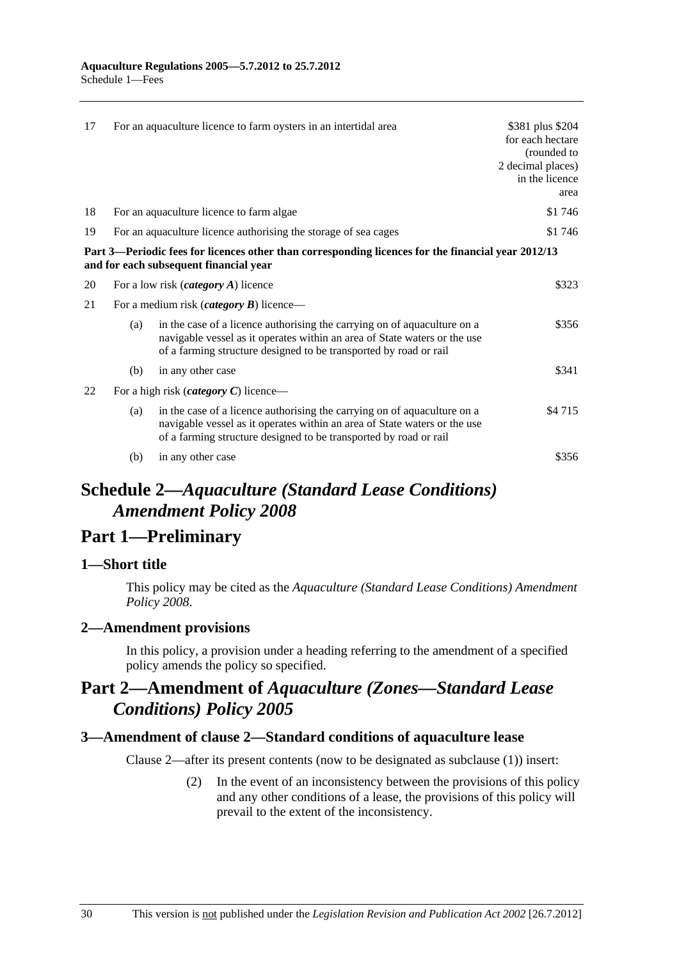<span id="page-29-0"></span>

| 17 |                                                                            | For an aquaculture licence to farm oysters in an intertidal area                                                                                                                                                           | \$381 plus \$204<br>for each hectare<br>(rounded to<br>2 decimal places)<br>in the licence<br>area |
|----|----------------------------------------------------------------------------|----------------------------------------------------------------------------------------------------------------------------------------------------------------------------------------------------------------------------|----------------------------------------------------------------------------------------------------|
| 18 |                                                                            | For an aquaculture licence to farm algae                                                                                                                                                                                   | \$1746                                                                                             |
| 19 | For an aquaculture licence authorising the storage of sea cages<br>\$1 746 |                                                                                                                                                                                                                            |                                                                                                    |
|    |                                                                            | Part 3—Periodic fees for licences other than corresponding licences for the financial year 2012/13<br>and for each subsequent financial year                                                                               |                                                                                                    |
| 20 | \$323<br>For a low risk <i>(category A)</i> licence                        |                                                                                                                                                                                                                            |                                                                                                    |
| 21 | For a medium risk ( <i>category B</i> ) licence—                           |                                                                                                                                                                                                                            |                                                                                                    |
|    | (a)                                                                        | in the case of a licence authorising the carrying on of aquaculture on a<br>navigable vessel as it operates within an area of State waters or the use<br>of a farming structure designed to be transported by road or rail | \$356                                                                                              |
|    | (b)                                                                        | in any other case                                                                                                                                                                                                          | \$341                                                                                              |
| 22 | For a high risk ( <i>category C</i> ) licence—                             |                                                                                                                                                                                                                            |                                                                                                    |
|    | (a)                                                                        | in the case of a licence authorising the carrying on of aquaculture on a<br>navigable vessel as it operates within an area of State waters or the use<br>of a farming structure designed to be transported by road or rail | \$4715                                                                                             |
|    | (b)                                                                        | in any other case                                                                                                                                                                                                          | \$356                                                                                              |

# **Schedule 2—***Aquaculture (Standard Lease Conditions) Amendment Policy 2008*

## **Part 1—Preliminary**

## **1—Short title**

This policy may be cited as the *[Aquaculture \(Standard Lease Conditions\) Amendment](http://www.legislation.sa.gov.au/index.aspx?action=legref&type=subordleg&legtitle=Aquaculture%20(Standard%20Lease%20Conditions)%20Amendment%20Policy%202008)  [Policy 2008](http://www.legislation.sa.gov.au/index.aspx?action=legref&type=subordleg&legtitle=Aquaculture%20(Standard%20Lease%20Conditions)%20Amendment%20Policy%202008)*.

## **2—Amendment provisions**

In this policy, a provision under a heading referring to the amendment of a specified policy amends the policy so specified.

# **Part 2—Amendment of** *Aquaculture (Zones—Standard Lease Conditions) Policy 2005*

## **3—Amendment of clause 2—Standard conditions of aquaculture lease**

Clause 2—after its present contents (now to be designated as subclause (1)) insert:

 (2) In the event of an inconsistency between the provisions of this policy and any other conditions of a lease, the provisions of this policy will prevail to the extent of the inconsistency.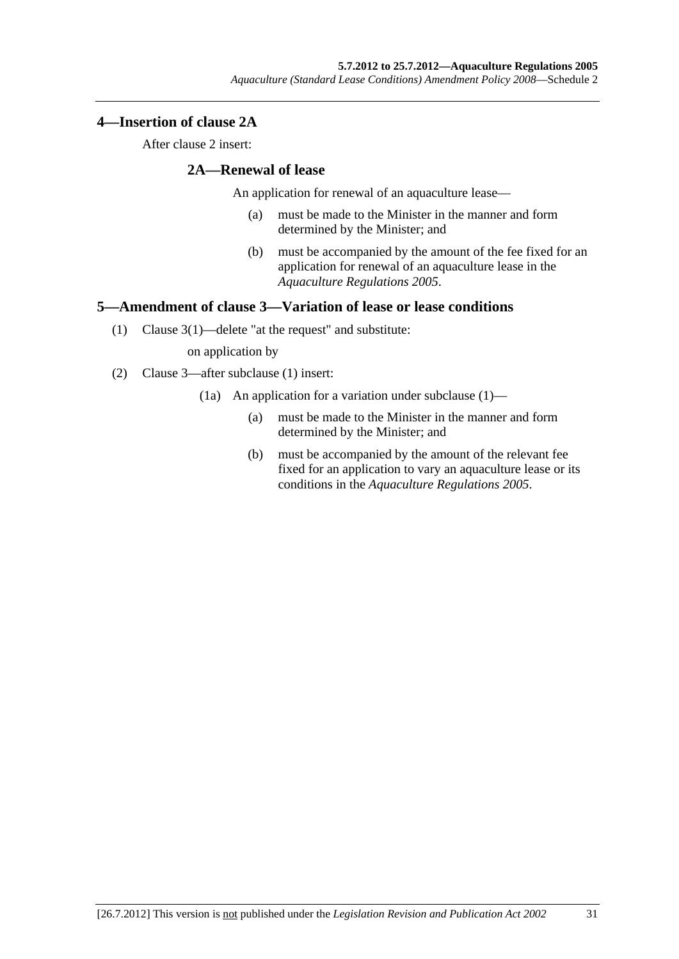## <span id="page-30-0"></span>**4—Insertion of clause 2A**

After clause 2 insert:

## **2A—Renewal of lease**

An application for renewal of an aquaculture lease—

- (a) must be made to the Minister in the manner and form determined by the Minister; and
- (b) must be accompanied by the amount of the fee fixed for an application for renewal of an aquaculture lease in the *[Aquaculture Regulations 2005](http://www.legislation.sa.gov.au/index.aspx?action=legref&type=subordleg&legtitle=Aquaculture%20Regulations%202005)*.

## **5—Amendment of clause 3—Variation of lease or lease conditions**

(1) Clause 3(1)—delete "at the request" and substitute:

on application by

- (2) Clause 3—after subclause (1) insert:
	- (1a) An application for a variation under subclause (1)—
		- (a) must be made to the Minister in the manner and form determined by the Minister; and
		- (b) must be accompanied by the amount of the relevant fee fixed for an application to vary an aquaculture lease or its conditions in the *[Aquaculture Regulations 2005](http://www.legislation.sa.gov.au/index.aspx?action=legref&type=subordleg&legtitle=Aquaculture%20Regulations%202005)*.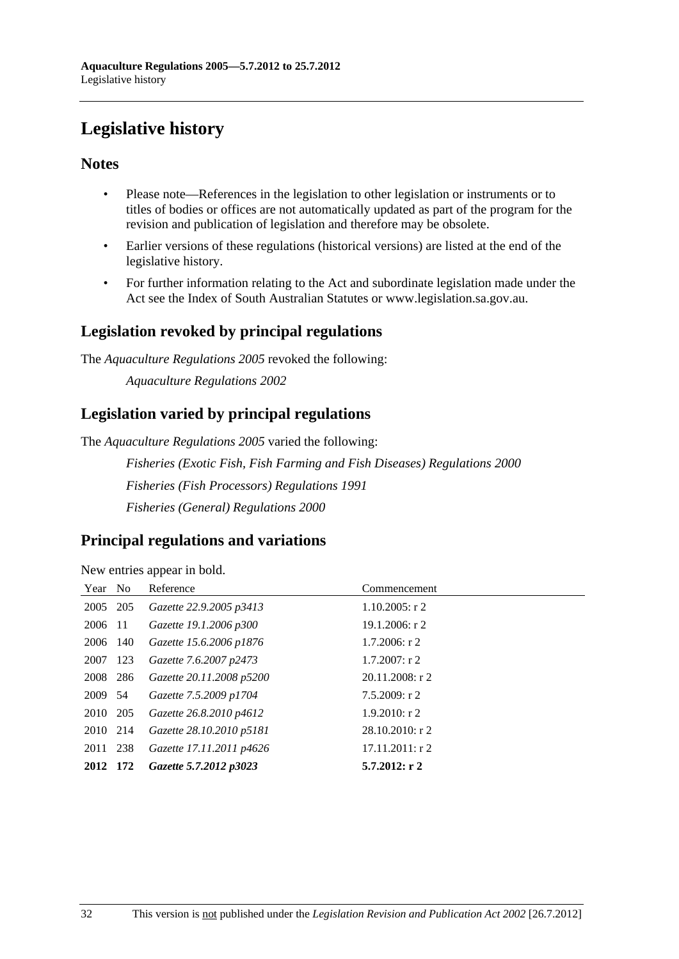# <span id="page-31-0"></span>**Legislative history**

## **Notes**

- Please note—References in the legislation to other legislation or instruments or to titles of bodies or offices are not automatically updated as part of the program for the revision and publication of legislation and therefore may be obsolete.
- Earlier versions of these regulations (historical versions) are listed at the end of the legislative history.
- For further information relating to the Act and subordinate legislation made under the Act see the Index of South Australian Statutes or www.legislation.sa.gov.au.

## **Legislation revoked by principal regulations**

The *Aquaculture Regulations 2005* revoked the following:

*Aquaculture Regulations 2002*

## **Legislation varied by principal regulations**

The *Aquaculture Regulations 2005* varied the following:

*Fisheries (Exotic Fish, Fish Farming and Fish Diseases) Regulations 2000 Fisheries (Fish Processors) Regulations 1991 Fisheries (General) Regulations 2000*

## **Principal regulations and variations**

New entries appear in bold.

| Year No  |       | Reference                | Commencement       |
|----------|-------|--------------------------|--------------------|
| 2005 205 |       | Gazette 22.9.2005 p3413  | $1.10.2005$ : r 2  |
| 2006     | - 11  | Gazette 19.1.2006 p300   | $19.1.2006$ : r 2  |
| 2006 140 |       | Gazette 15.6.2006 p1876  | $1.7.2006$ : r 2   |
| 2007 123 |       | Gazette 7.6.2007 p2473   | $1.7.2007$ : r 2   |
| 2008 286 |       | Gazette 20.11.2008 p5200 | $20.11.2008$ : r 2 |
| 2009 54  |       | Gazette 7.5.2009 p1704   | $7.5.2009$ : r 2   |
| 2010 205 |       | Gazette 26.8.2010 p4612  | $1.9.2010$ : r 2   |
| 2010 214 |       | Gazette 28.10.2010 p5181 | $28.10.2010$ : r 2 |
| 2011 238 |       | Gazette 17.11.2011 p4626 | $17.11.2011:$ r 2  |
| 2012     | - 172 | Gazette 5.7.2012 p3023   | $5.7.2012:$ r 2    |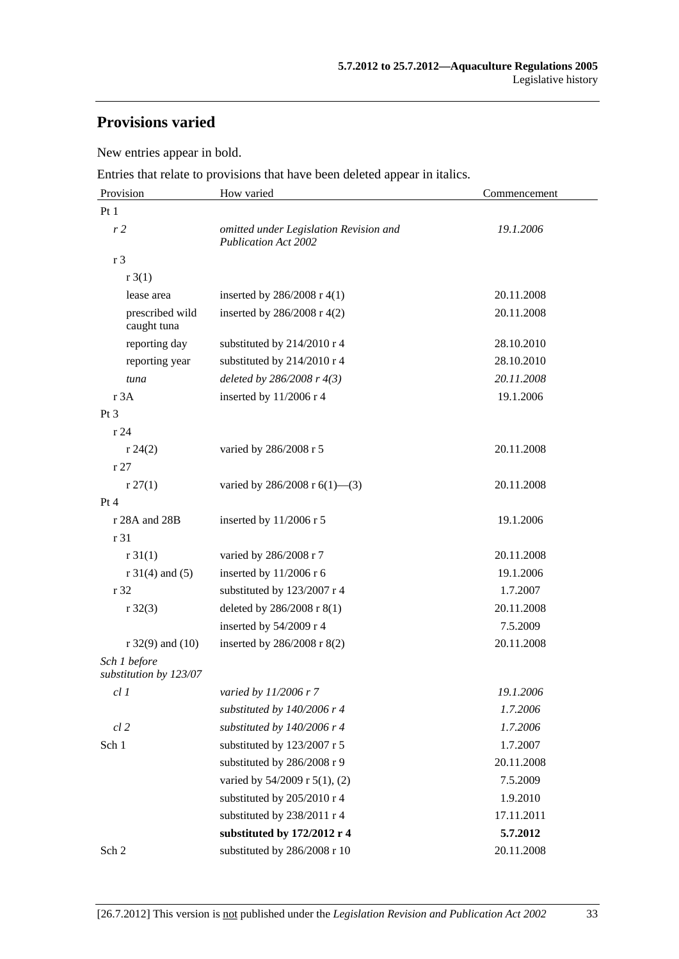# **Provisions varied**

New entries appear in bold.

Entries that relate to provisions that have been deleted appear in italics.

| Provision                              | How varied                                                            | Commencement |
|----------------------------------------|-----------------------------------------------------------------------|--------------|
| Pt <sub>1</sub>                        |                                                                       |              |
| r <sub>2</sub>                         | omitted under Legislation Revision and<br><b>Publication Act 2002</b> | 19.1.2006    |
| r 3                                    |                                                                       |              |
| r3(1)                                  |                                                                       |              |
| lease area                             | inserted by $286/2008$ r 4(1)                                         | 20.11.2008   |
| prescribed wild<br>caught tuna         | inserted by 286/2008 r 4(2)                                           | 20.11.2008   |
| reporting day                          | substituted by 214/2010 r 4                                           | 28.10.2010   |
| reporting year                         | substituted by 214/2010 r 4                                           | 28.10.2010   |
| tuna                                   | deleted by $286/2008$ r $4(3)$                                        | 20.11.2008   |
| r 3A                                   | inserted by $11/2006$ r 4                                             | 19.1.2006    |
| Pt 3                                   |                                                                       |              |
| r24                                    |                                                                       |              |
| r 24(2)                                | varied by 286/2008 r 5                                                | 20.11.2008   |
| r 27                                   |                                                                       |              |
| r 27(1)                                | varied by 286/2008 r $6(1)$ —(3)                                      | 20.11.2008   |
| Pt 4                                   |                                                                       |              |
| r 28A and 28B                          | inserted by $11/2006$ r 5                                             | 19.1.2006    |
| r 31                                   |                                                                       |              |
| r 31(1)                                | varied by 286/2008 r 7                                                | 20.11.2008   |
| $r 31(4)$ and (5)                      | inserted by $11/2006$ r 6                                             | 19.1.2006    |
| r 32                                   | substituted by 123/2007 r 4                                           | 1.7.2007     |
| $r \, 32(3)$                           | deleted by 286/2008 r 8(1)                                            | 20.11.2008   |
|                                        | inserted by 54/2009 r 4                                               | 7.5.2009     |
| $r$ 32(9) and (10)                     | inserted by 286/2008 r 8(2)                                           | 20.11.2008   |
| Sch 1 before<br>substitution by 123/07 |                                                                       |              |
| cl 1                                   | varied by 11/2006 r 7                                                 | 19.1.2006    |
|                                        | substituted by $140/2006$ r 4                                         | 1.7.2006     |
| $cl$ 2                                 | substituted by 140/2006 r 4                                           | 1.7.2006     |
| Sch 1                                  | substituted by 123/2007 r 5                                           | 1.7.2007     |
|                                        | substituted by 286/2008 r 9                                           | 20.11.2008   |
|                                        | varied by 54/2009 r 5(1), (2)                                         | 7.5.2009     |
|                                        | substituted by 205/2010 r 4                                           | 1.9.2010     |
|                                        | substituted by 238/2011 r 4                                           | 17.11.2011   |
|                                        | substituted by 172/2012 r 4                                           | 5.7.2012     |
| Sch 2                                  | substituted by 286/2008 r 10                                          | 20.11.2008   |